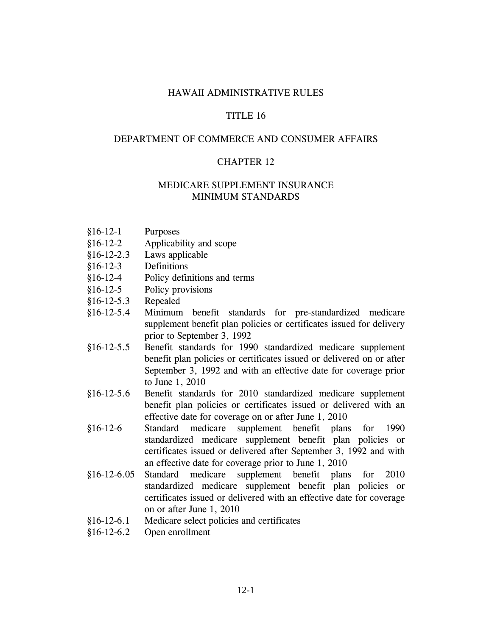### HAWAII ADMINISTRATIVE RULES

### TITLE 16

### DEPARTMENT OF COMMERCE AND CONSUMER AFFAIRS

#### CHAPTER 12

### MEDICARE SUPPLEMENT INSURANCE MINIMUM STANDARDS

- §16-12-1 Purposes
- §16-12-2 Applicability and scope
- §16-12-2.3 Laws applicable
- §16-12-3 Definitions
- §16-12-4 Policy definitions and terms
- §16-12-5 Policy provisions
- §16-12-5.3 Repealed
- §16-12-5.4 Minimum benefit standards for pre-standardized medicare supplement benefit plan policies or certificates issued for delivery prior to September 3, 1992
- §16-12-5.5 Benefit standards for 1990 standardized medicare supplement benefit plan policies or certificates issued or delivered on or after September 3, 1992 and with an effective date for coverage prior to June 1, 2010
- §16-12-5.6 Benefit standards for 2010 standardized medicare supplement benefit plan policies or certificates issued or delivered with an effective date for coverage on or after June 1, 2010
- §16-12-6 Standard medicare supplement benefit plans for 1990 standardized medicare supplement benefit plan policies or certificates issued or delivered after September 3, 1992 and with an effective date for coverage prior to June 1, 2010
- §16-12-6.05 Standard medicare supplement benefit plans for 2010 standardized medicare supplement benefit plan policies or certificates issued or delivered with an effective date for coverage on or after June 1, 2010
- §16-12-6.1 Medicare select policies and certificates
- §16-12-6.2 Open enrollment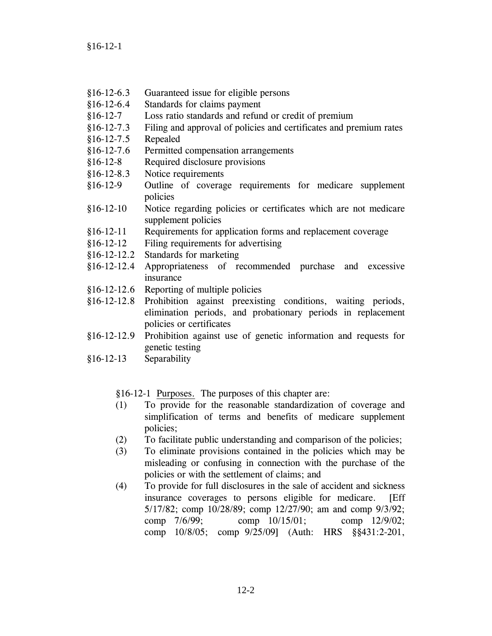§16-12-1

- §16-12-6.3 Guaranteed issue for eligible persons
- §16-12-6.4 Standards for claims payment
- §16-12-7 Loss ratio standards and refund or credit of premium
- §16-12-7.3 Filing and approval of policies and certificates and premium rates
- §16-12-7.5 Repealed
- §16-12-7.6 Permitted compensation arrangements
- §16-12-8 Required disclosure provisions
- §16-12-8.3 Notice requirements
- §16-12-9 Outline of coverage requirements for medicare supplement policies
- §16-12-10 Notice regarding policies or certificates which are not medicare supplement policies
- §16-12-11 Requirements for application forms and replacement coverage
- §16-12-12 Filing requirements for advertising
- §16-12-12.2 Standards for marketing
- §16-12-12.4 Appropriateness of recommended purchase and excessive insurance
- §16-12-12.6 Reporting of multiple policies
- §16-12-12.8 Prohibition against preexisting conditions, waiting periods, elimination periods, and probationary periods in replacement policies or certificates
- §16-12-12.9 Prohibition against use of genetic information and requests for genetic testing
- §16-12-13 Separability

§16-12-1 Purposes. The purposes of this chapter are:

- (1) To provide for the reasonable standardization of coverage and simplification of terms and benefits of medicare supplement policies;
- (2) To facilitate public understanding and comparison of the policies;
- (3) To eliminate provisions contained in the policies which may be misleading or confusing in connection with the purchase of the policies or with the settlement of claims; and
- (4) To provide for full disclosures in the sale of accident and sickness insurance coverages to persons eligible for medicare. [Eff 5/17/82; comp 10/28/89; comp 12/27/90; am and comp 9/3/92; comp 7/6/99; comp 10/15/01; comp 12/9/02; comp 10/8/05; comp 9/25/09] (Auth: HRS §§431:2-201,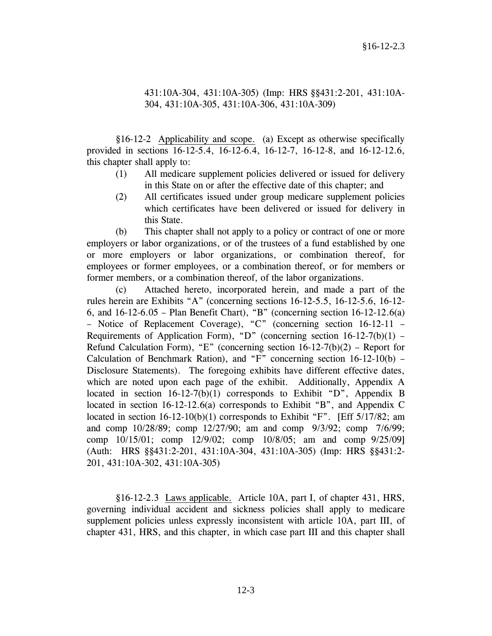### 431:10A-304, 431:10A-305) (Imp: HRS §§431:2-201, 431:10A-304, 431:10A-305, 431:10A-306, 431:10A-309)

 §16-12-2 Applicability and scope. (a) Except as otherwise specifically provided in sections 16-12-5.4, 16-12-6.4, 16-12-7, 16-12-8, and 16-12-12.6, this chapter shall apply to:

- (1) All medicare supplement policies delivered or issued for delivery in this State on or after the effective date of this chapter; and
- (2) All certificates issued under group medicare supplement policies which certificates have been delivered or issued for delivery in this State.

 (b) This chapter shall not apply to a policy or contract of one or more employers or labor organizations, or of the trustees of a fund established by one or more employers or labor organizations, or combination thereof, for employees or former employees, or a combination thereof, or for members or former members, or a combination thereof, of the labor organizations.

 (c) Attached hereto, incorporated herein, and made a part of the rules herein are Exhibits "A" (concerning sections 16-12-5.5, 16-12-5.6, 16-12- 6, and 16-12-6.05 – Plan Benefit Chart), "B" (concerning section 16-12-12.6(a) – Notice of Replacement Coverage), "C" (concerning section 16-12-11 – Requirements of Application Form), "D" (concerning section  $16-12-7(b)(1)$  – Refund Calculation Form), "E" (concerning section  $16-12-7(b)(2)$  – Report for Calculation of Benchmark Ration), and "F" concerning section  $16-12-10(b)$  – Disclosure Statements). The foregoing exhibits have different effective dates, which are noted upon each page of the exhibit. Additionally, Appendix A located in section 16-12-7(b)(1) corresponds to Exhibit "D", Appendix B located in section 16-12-12.6(a) corresponds to Exhibit "B", and Appendix C located in section 16-12-10(b)(1) corresponds to Exhibit "F". [Eff 5/17/82; am and comp 10/28/89; comp 12/27/90; am and comp 9/3/92; comp 7/6/99; comp 10/15/01; comp 12/9/02; comp 10/8/05; am and comp 9/25/09] (Auth: HRS §§431:2-201, 431:10A-304, 431:10A-305) (Imp: HRS §§431:2- 201, 431:10A-302, 431:10A-305)

 §16-12-2.3 Laws applicable. Article 10A, part I, of chapter 431, HRS, governing individual accident and sickness policies shall apply to medicare supplement policies unless expressly inconsistent with article 10A, part III, of chapter 431, HRS, and this chapter, in which case part III and this chapter shall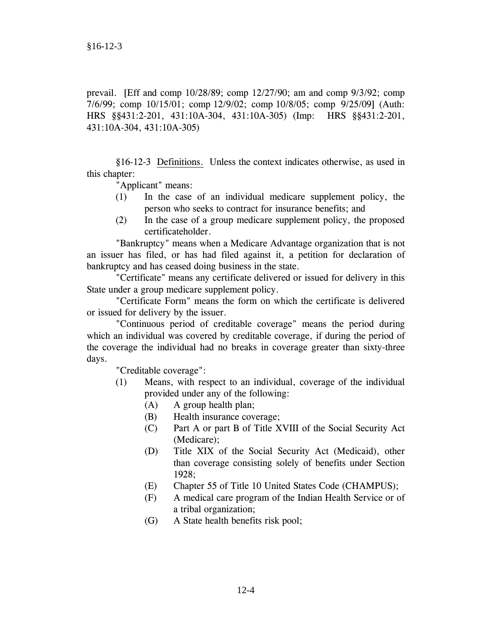prevail. [Eff and comp 10/28/89; comp 12/27/90; am and comp 9/3/92; comp 7/6/99; comp 10/15/01; comp 12/9/02; comp 10/8/05; comp 9/25/09] (Auth: HRS §§431:2-201, 431:10A-304, 431:10A-305) (Imp: HRS §§431:2-201, 431:10A-304, 431:10A-305)

 §16-12-3 Definitions. Unless the context indicates otherwise, as used in this chapter:

"Applicant" means:

- (1) In the case of an individual medicare supplement policy, the person who seeks to contract for insurance benefits; and
- (2) In the case of a group medicare supplement policy, the proposed certificateholder.

 "Bankruptcy" means when a Medicare Advantage organization that is not an issuer has filed, or has had filed against it, a petition for declaration of bankruptcy and has ceased doing business in the state.

 "Certificate" means any certificate delivered or issued for delivery in this State under a group medicare supplement policy.

 "Certificate Form" means the form on which the certificate is delivered or issued for delivery by the issuer.

 "Continuous period of creditable coverage" means the period during which an individual was covered by creditable coverage, if during the period of the coverage the individual had no breaks in coverage greater than sixty-three days.

"Creditable coverage":

- (1) Means, with respect to an individual, coverage of the individual provided under any of the following:
	- (A) A group health plan;
	- (B) Health insurance coverage;
	- (C) Part A or part B of Title XVIII of the Social Security Act (Medicare);
	- (D) Title XIX of the Social Security Act (Medicaid), other than coverage consisting solely of benefits under Section 1928;
	- (E) Chapter 55 of Title 10 United States Code (CHAMPUS);
	- (F) A medical care program of the Indian Health Service or of a tribal organization;
	- (G) A State health benefits risk pool;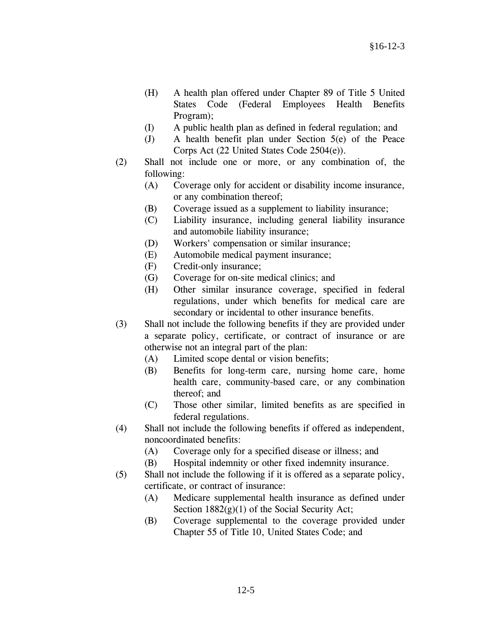- (H) A health plan offered under Chapter 89 of Title 5 United States Code (Federal Employees Health Benefits Program);
- (I) A public health plan as defined in federal regulation; and
- (J) A health benefit plan under Section 5(e) of the Peace Corps Act (22 United States Code 2504(e)).
- (2) Shall not include one or more, or any combination of, the following:
	- (A) Coverage only for accident or disability income insurance, or any combination thereof;
	- (B) Coverage issued as a supplement to liability insurance;
	- (C) Liability insurance, including general liability insurance and automobile liability insurance;
	- (D) Workers' compensation or similar insurance;
	- (E) Automobile medical payment insurance;
	- (F) Credit-only insurance;
	- (G) Coverage for on-site medical clinics; and
	- (H) Other similar insurance coverage, specified in federal regulations, under which benefits for medical care are secondary or incidental to other insurance benefits.
- (3) Shall not include the following benefits if they are provided under a separate policy, certificate, or contract of insurance or are otherwise not an integral part of the plan:
	- (A) Limited scope dental or vision benefits;
	- (B) Benefits for long-term care, nursing home care, home health care, community-based care, or any combination thereof; and
	- (C) Those other similar, limited benefits as are specified in federal regulations.
- (4) Shall not include the following benefits if offered as independent, noncoordinated benefits:
	- (A) Coverage only for a specified disease or illness; and
	- (B) Hospital indemnity or other fixed indemnity insurance.
- (5) Shall not include the following if it is offered as a separate policy, certificate, or contract of insurance:
	- (A) Medicare supplemental health insurance as defined under Section  $1882(g)(1)$  of the Social Security Act;
	- (B) Coverage supplemental to the coverage provided under Chapter 55 of Title 10, United States Code; and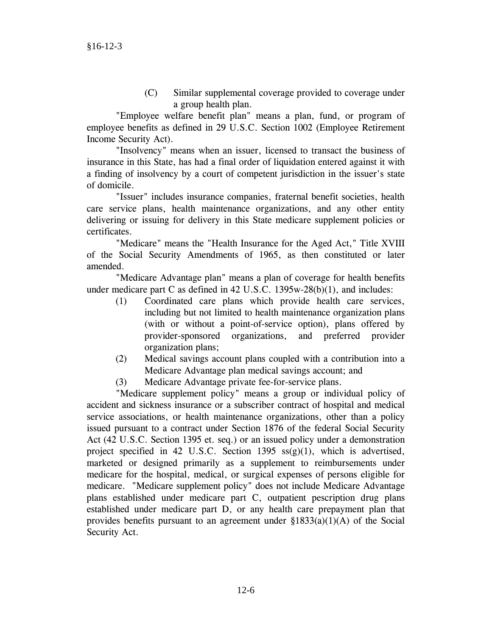(C) Similar supplemental coverage provided to coverage under a group health plan.

 "Employee welfare benefit plan" means a plan, fund, or program of employee benefits as defined in 29 U.S.C. Section 1002 (Employee Retirement Income Security Act).

 "Insolvency" means when an issuer, licensed to transact the business of insurance in this State, has had a final order of liquidation entered against it with a finding of insolvency by a court of competent jurisdiction in the issuer's state of domicile.

 "Issuer" includes insurance companies, fraternal benefit societies, health care service plans, health maintenance organizations, and any other entity delivering or issuing for delivery in this State medicare supplement policies or certificates.

 "Medicare" means the "Health Insurance for the Aged Act," Title XVIII of the Social Security Amendments of 1965, as then constituted or later amended.

 "Medicare Advantage plan" means a plan of coverage for health benefits under medicare part C as defined in 42 U.S.C. 1395w-28(b)(1), and includes:

- (1) Coordinated care plans which provide health care services, including but not limited to health maintenance organization plans (with or without a point-of-service option), plans offered by provider-sponsored organizations, and preferred provider organization plans;
- (2) Medical savings account plans coupled with a contribution into a Medicare Advantage plan medical savings account; and
- (3) Medicare Advantage private fee-for-service plans.

 "Medicare supplement policy" means a group or individual policy of accident and sickness insurance or a subscriber contract of hospital and medical service associations, or health maintenance organizations, other than a policy issued pursuant to a contract under Section 1876 of the federal Social Security Act (42 U.S.C. Section 1395 et. seq.) or an issued policy under a demonstration project specified in 42 U.S.C. Section 1395  $ss(g)(1)$ , which is advertised, marketed or designed primarily as a supplement to reimbursements under medicare for the hospital, medical, or surgical expenses of persons eligible for medicare. "Medicare supplement policy" does not include Medicare Advantage plans established under medicare part C, outpatient pescription drug plans established under medicare part D, or any health care prepayment plan that provides benefits pursuant to an agreement under  $\S 1833(a)(1)(A)$  of the Social Security Act.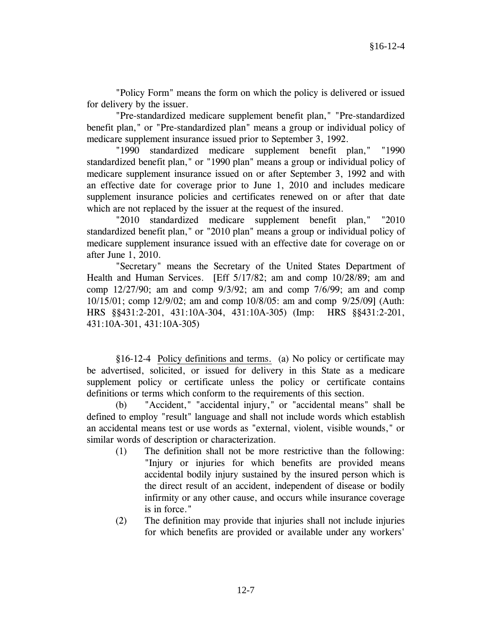"Policy Form" means the form on which the policy is delivered or issued for delivery by the issuer.

 "Pre-standardized medicare supplement benefit plan," "Pre-standardized benefit plan," or "Pre-standardized plan" means a group or individual policy of medicare supplement insurance issued prior to September 3, 1992.

 "1990 standardized medicare supplement benefit plan," "1990 standardized benefit plan," or "1990 plan" means a group or individual policy of medicare supplement insurance issued on or after September 3, 1992 and with an effective date for coverage prior to June 1, 2010 and includes medicare supplement insurance policies and certificates renewed on or after that date which are not replaced by the issuer at the request of the insured.

 "2010 standardized medicare supplement benefit plan," "2010 standardized benefit plan," or "2010 plan" means a group or individual policy of medicare supplement insurance issued with an effective date for coverage on or after June 1, 2010.

 "Secretary" means the Secretary of the United States Department of Health and Human Services. [Eff 5/17/82; am and comp 10/28/89; am and comp 12/27/90; am and comp 9/3/92; am and comp 7/6/99; am and comp 10/15/01; comp 12/9/02; am and comp 10/8/05: am and comp 9/25/09] (Auth: HRS §§431:2-201, 431:10A-304, 431:10A-305) (Imp: HRS §§431:2-201, 431:10A-301, 431:10A-305)

 §16-12-4 Policy definitions and terms. (a) No policy or certificate may be advertised, solicited, or issued for delivery in this State as a medicare supplement policy or certificate unless the policy or certificate contains definitions or terms which conform to the requirements of this section.

 (b) "Accident," "accidental injury," or "accidental means" shall be defined to employ "result" language and shall not include words which establish an accidental means test or use words as "external, violent, visible wounds," or similar words of description or characterization.

- (1) The definition shall not be more restrictive than the following: "Injury or injuries for which benefits are provided means accidental bodily injury sustained by the insured person which is the direct result of an accident, independent of disease or bodily infirmity or any other cause, and occurs while insurance coverage is in force."
- (2) The definition may provide that injuries shall not include injuries for which benefits are provided or available under any workers'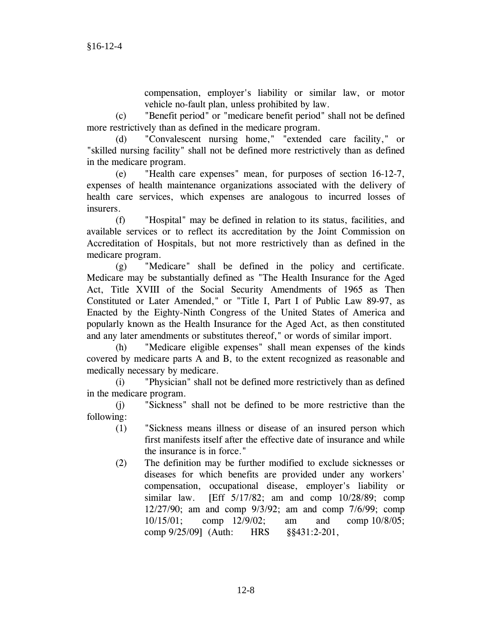compensation, employer's liability or similar law, or motor vehicle no-fault plan, unless prohibited by law.

 (c) "Benefit period" or "medicare benefit period" shall not be defined more restrictively than as defined in the medicare program.

 (d) "Convalescent nursing home," "extended care facility," or "skilled nursing facility" shall not be defined more restrictively than as defined in the medicare program.

 (e) "Health care expenses" mean, for purposes of section 16-12-7, expenses of health maintenance organizations associated with the delivery of health care services, which expenses are analogous to incurred losses of insurers.

 (f) "Hospital" may be defined in relation to its status, facilities, and available services or to reflect its accreditation by the Joint Commission on Accreditation of Hospitals, but not more restrictively than as defined in the medicare program.

 (g) "Medicare" shall be defined in the policy and certificate. Medicare may be substantially defined as "The Health Insurance for the Aged Act, Title XVIII of the Social Security Amendments of 1965 as Then Constituted or Later Amended," or "Title I, Part I of Public Law 89-97, as Enacted by the Eighty-Ninth Congress of the United States of America and popularly known as the Health Insurance for the Aged Act, as then constituted and any later amendments or substitutes thereof," or words of similar import.

 (h) "Medicare eligible expenses" shall mean expenses of the kinds covered by medicare parts A and B, to the extent recognized as reasonable and medically necessary by medicare.

 (i) "Physician" shall not be defined more restrictively than as defined in the medicare program.

 (j) "Sickness" shall not be defined to be more restrictive than the following:

- (1) "Sickness means illness or disease of an insured person which first manifests itself after the effective date of insurance and while the insurance is in force."
- (2) The definition may be further modified to exclude sicknesses or diseases for which benefits are provided under any workers' compensation, occupational disease, employer's liability or similar law. [Eff 5/17/82; am and comp 10/28/89; comp 12/27/90; am and comp 9/3/92; am and comp 7/6/99; comp 10/15/01; comp 12/9/02; am and comp 10/8/05; comp 9/25/09] (Auth: HRS §§431:2-201,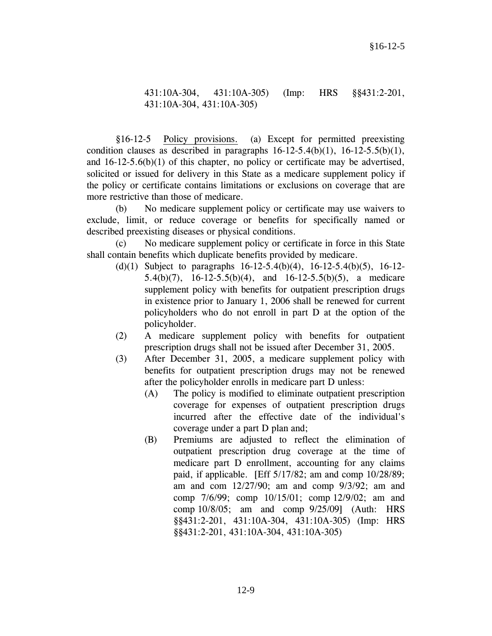# 431:10A-304, 431:10A-305) (Imp: HRS §§431:2-201, 431:10A-304, 431:10A-305)

 §16-12-5 Policy provisions. (a) Except for permitted preexisting condition clauses as described in paragraphs  $16-12-5.4(b)(1)$ ,  $16-12-5.5(b)(1)$ , and  $16-12-5.6(b)(1)$  of this chapter, no policy or certificate may be advertised, solicited or issued for delivery in this State as a medicare supplement policy if the policy or certificate contains limitations or exclusions on coverage that are more restrictive than those of medicare.

 (b) No medicare supplement policy or certificate may use waivers to exclude, limit, or reduce coverage or benefits for specifically named or described preexisting diseases or physical conditions.

 (c) No medicare supplement policy or certificate in force in this State shall contain benefits which duplicate benefits provided by medicare.

- (d)(1) Subject to paragraphs 16-12-5.4(b)(4), 16-12-5.4(b)(5), 16-12- 5.4(b)(7), 16-12-5.5(b)(4), and 16-12-5.5(b)(5), a medicare supplement policy with benefits for outpatient prescription drugs in existence prior to January 1, 2006 shall be renewed for current policyholders who do not enroll in part D at the option of the policyholder.
- (2) A medicare supplement policy with benefits for outpatient prescription drugs shall not be issued after December 31, 2005.
- (3) After December 31, 2005, a medicare supplement policy with benefits for outpatient prescription drugs may not be renewed after the policyholder enrolls in medicare part D unless:
	- (A) The policy is modified to eliminate outpatient prescription coverage for expenses of outpatient prescription drugs incurred after the effective date of the individual's coverage under a part D plan and;
	- (B) Premiums are adjusted to reflect the elimination of outpatient prescription drug coverage at the time of medicare part D enrollment, accounting for any claims paid, if applicable. [Eff 5/17/82; am and comp 10/28/89; am and com 12/27/90; am and comp 9/3/92; am and comp 7/6/99; comp 10/15/01; comp 12/9/02; am and comp 10/8/05; am and comp 9/25/09] (Auth: HRS §§431:2-201, 431:10A-304, 431:10A-305) (Imp: HRS §§431:2-201, 431:10A-304, 431:10A-305)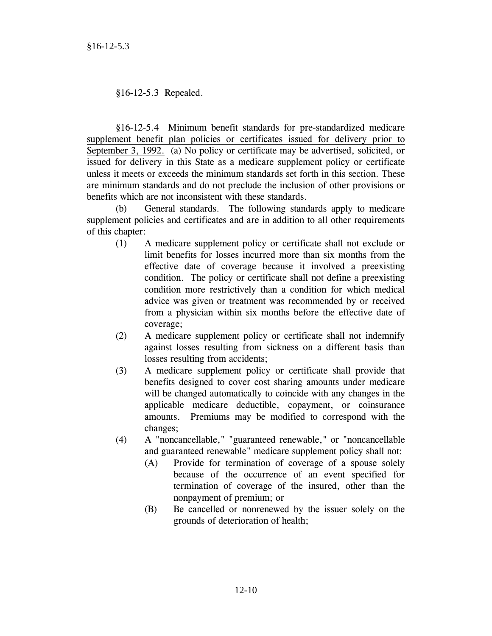§16-12-5.3 Repealed.

§16-12-5.4 Minimum benefit standards for pre-standardized medicare supplement benefit plan policies or certificates issued for delivery prior to September 3, 1992. (a) No policy or certificate may be advertised, solicited, or issued for delivery in this State as a medicare supplement policy or certificate unless it meets or exceeds the minimum standards set forth in this section. These are minimum standards and do not preclude the inclusion of other provisions or benefits which are not inconsistent with these standards.

 (b) General standards. The following standards apply to medicare supplement policies and certificates and are in addition to all other requirements of this chapter:

- (1) A medicare supplement policy or certificate shall not exclude or limit benefits for losses incurred more than six months from the effective date of coverage because it involved a preexisting condition. The policy or certificate shall not define a preexisting condition more restrictively than a condition for which medical advice was given or treatment was recommended by or received from a physician within six months before the effective date of coverage;
- (2) A medicare supplement policy or certificate shall not indemnify against losses resulting from sickness on a different basis than losses resulting from accidents;
- (3) A medicare supplement policy or certificate shall provide that benefits designed to cover cost sharing amounts under medicare will be changed automatically to coincide with any changes in the applicable medicare deductible, copayment, or coinsurance amounts. Premiums may be modified to correspond with the changes;
- (4) A "noncancellable," "guaranteed renewable," or "noncancellable and guaranteed renewable" medicare supplement policy shall not:
	- (A) Provide for termination of coverage of a spouse solely because of the occurrence of an event specified for termination of coverage of the insured, other than the nonpayment of premium; or
	- (B) Be cancelled or nonrenewed by the issuer solely on the grounds of deterioration of health;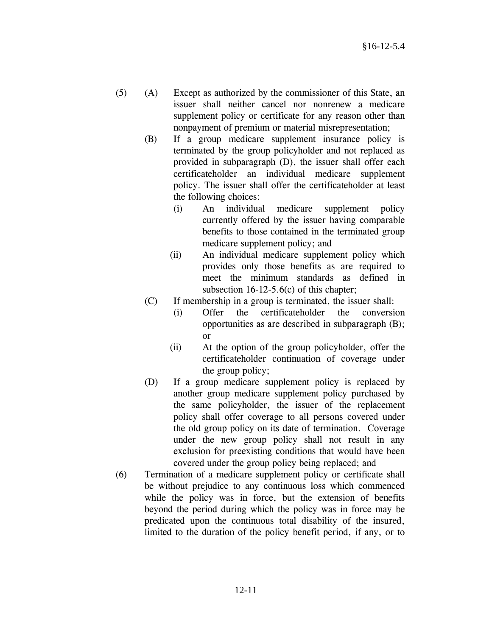- (5) (A) Except as authorized by the commissioner of this State, an issuer shall neither cancel nor nonrenew a medicare supplement policy or certificate for any reason other than nonpayment of premium or material misrepresentation;
	- (B) If a group medicare supplement insurance policy is terminated by the group policyholder and not replaced as provided in subparagraph (D), the issuer shall offer each certificateholder an individual medicare supplement policy. The issuer shall offer the certificateholder at least the following choices:
		- (i) An individual medicare supplement policy currently offered by the issuer having comparable benefits to those contained in the terminated group medicare supplement policy; and
		- (ii) An individual medicare supplement policy which provides only those benefits as are required to meet the minimum standards as defined in subsection 16-12-5.6(c) of this chapter;
	- (C) If membership in a group is terminated, the issuer shall:
		- (i) Offer the certificateholder the conversion opportunities as are described in subparagraph (B); or
		- (ii) At the option of the group policyholder, offer the certificateholder continuation of coverage under the group policy;
	- (D) If a group medicare supplement policy is replaced by another group medicare supplement policy purchased by the same policyholder, the issuer of the replacement policy shall offer coverage to all persons covered under the old group policy on its date of termination. Coverage under the new group policy shall not result in any exclusion for preexisting conditions that would have been covered under the group policy being replaced; and
- (6) Termination of a medicare supplement policy or certificate shall be without prejudice to any continuous loss which commenced while the policy was in force, but the extension of benefits beyond the period during which the policy was in force may be predicated upon the continuous total disability of the insured, limited to the duration of the policy benefit period, if any, or to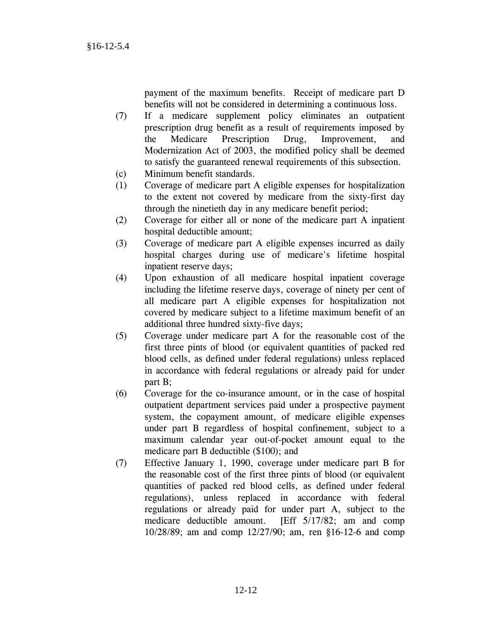payment of the maximum benefits. Receipt of medicare part D benefits will not be considered in determining a continuous loss.

- (7) If a medicare supplement policy eliminates an outpatient prescription drug benefit as a result of requirements imposed by the Medicare Prescription Drug, Improvement, and Modernization Act of 2003, the modified policy shall be deemed to satisfy the guaranteed renewal requirements of this subsection.
- (c) Minimum benefit standards.
- (1) Coverage of medicare part A eligible expenses for hospitalization to the extent not covered by medicare from the sixty-first day through the ninetieth day in any medicare benefit period;
- (2) Coverage for either all or none of the medicare part A inpatient hospital deductible amount;
- (3) Coverage of medicare part A eligible expenses incurred as daily hospital charges during use of medicare's lifetime hospital inpatient reserve days;
- (4) Upon exhaustion of all medicare hospital inpatient coverage including the lifetime reserve days, coverage of ninety per cent of all medicare part A eligible expenses for hospitalization not covered by medicare subject to a lifetime maximum benefit of an additional three hundred sixty-five days;
- (5) Coverage under medicare part A for the reasonable cost of the first three pints of blood (or equivalent quantities of packed red blood cells, as defined under federal regulations) unless replaced in accordance with federal regulations or already paid for under part B;
- (6) Coverage for the co-insurance amount, or in the case of hospital outpatient department services paid under a prospective payment system, the copayment amount, of medicare eligible expenses under part B regardless of hospital confinement, subject to a maximum calendar year out-of-pocket amount equal to the medicare part B deductible (\$100); and
- (7) Effective January 1, 1990, coverage under medicare part B for the reasonable cost of the first three pints of blood (or equivalent quantities of packed red blood cells, as defined under federal regulations), unless replaced in accordance with federal regulations or already paid for under part A, subject to the medicare deductible amount. [Eff 5/17/82; am and comp 10/28/89; am and comp 12/27/90; am, ren §16-12-6 and comp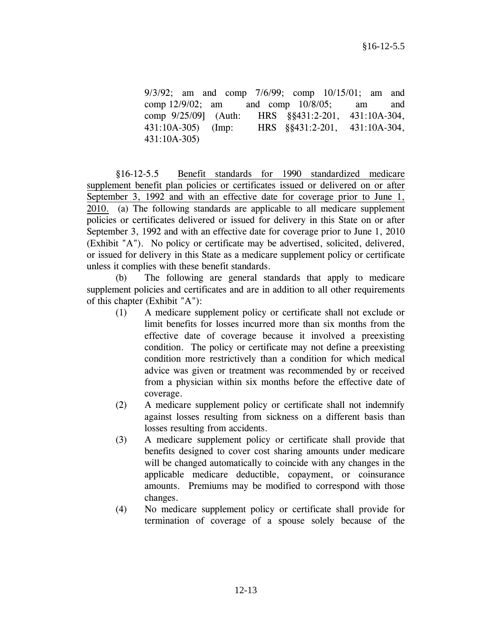9/3/92; am and comp 7/6/99; comp 10/15/01; am and comp 12/9/02; am and comp 10/8/05; am and comp 9/25/09] (Auth: HRS §§431:2-201, 431:10A-304, 431:10A-305) (Imp: HRS §§431:2-201, 431:10A-304, 431:10A-305)

 §16-12-5.5 Benefit standards for 1990 standardized medicare supplement benefit plan policies or certificates issued or delivered on or after September 3, 1992 and with an effective date for coverage prior to June 1, 2010. (a) The following standards are applicable to all medicare supplement policies or certificates delivered or issued for delivery in this State on or after September 3, 1992 and with an effective date for coverage prior to June 1, 2010 (Exhibit "A"). No policy or certificate may be advertised, solicited, delivered, or issued for delivery in this State as a medicare supplement policy or certificate unless it complies with these benefit standards.

 (b) The following are general standards that apply to medicare supplement policies and certificates and are in addition to all other requirements of this chapter (Exhibit "A"):

- (1) A medicare supplement policy or certificate shall not exclude or limit benefits for losses incurred more than six months from the effective date of coverage because it involved a preexisting condition. The policy or certificate may not define a preexisting condition more restrictively than a condition for which medical advice was given or treatment was recommended by or received from a physician within six months before the effective date of coverage.
- (2) A medicare supplement policy or certificate shall not indemnify against losses resulting from sickness on a different basis than losses resulting from accidents.
- (3) A medicare supplement policy or certificate shall provide that benefits designed to cover cost sharing amounts under medicare will be changed automatically to coincide with any changes in the applicable medicare deductible, copayment, or coinsurance amounts. Premiums may be modified to correspond with those changes.
- (4) No medicare supplement policy or certificate shall provide for termination of coverage of a spouse solely because of the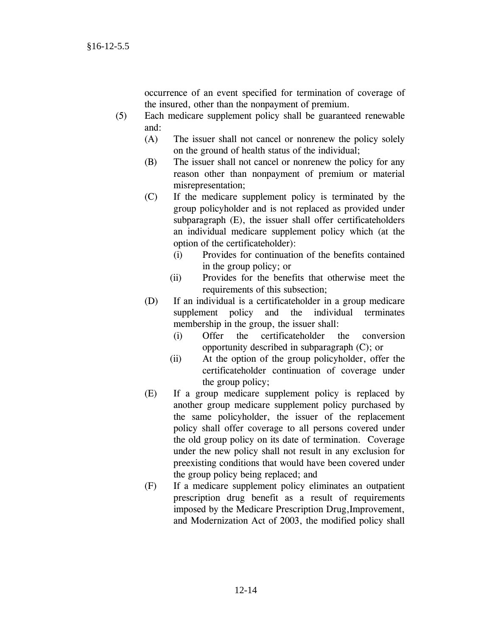occurrence of an event specified for termination of coverage of the insured, other than the nonpayment of premium.

- (5) Each medicare supplement policy shall be guaranteed renewable and:
	- (A) The issuer shall not cancel or nonrenew the policy solely on the ground of health status of the individual;
	- (B) The issuer shall not cancel or nonrenew the policy for any reason other than nonpayment of premium or material misrepresentation;
	- (C) If the medicare supplement policy is terminated by the group policyholder and is not replaced as provided under subparagraph (E), the issuer shall offer certificateholders an individual medicare supplement policy which (at the option of the certificateholder):
		- (i) Provides for continuation of the benefits contained in the group policy; or
		- (ii) Provides for the benefits that otherwise meet the requirements of this subsection;
	- (D) If an individual is a certificateholder in a group medicare supplement policy and the individual terminates membership in the group, the issuer shall:
		- (i) Offer the certificateholder the conversion opportunity described in subparagraph (C); or
		- (ii) At the option of the group policyholder, offer the certificateholder continuation of coverage under the group policy;
	- (E) If a group medicare supplement policy is replaced by another group medicare supplement policy purchased by the same policyholder, the issuer of the replacement policy shall offer coverage to all persons covered under the old group policy on its date of termination. Coverage under the new policy shall not result in any exclusion for preexisting conditions that would have been covered under the group policy being replaced; and
	- (F) If a medicare supplement policy eliminates an outpatient prescription drug benefit as a result of requirements imposed by the Medicare Prescription Drug,Improvement, and Modernization Act of 2003, the modified policy shall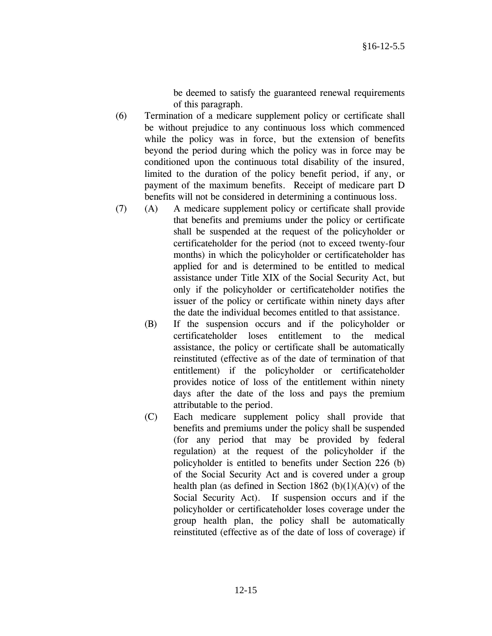be deemed to satisfy the guaranteed renewal requirements of this paragraph.

- (6) Termination of a medicare supplement policy or certificate shall be without prejudice to any continuous loss which commenced while the policy was in force, but the extension of benefits beyond the period during which the policy was in force may be conditioned upon the continuous total disability of the insured, limited to the duration of the policy benefit period, if any, or payment of the maximum benefits. Receipt of medicare part D benefits will not be considered in determining a continuous loss.
- (7) (A) A medicare supplement policy or certificate shall provide that benefits and premiums under the policy or certificate shall be suspended at the request of the policyholder or certificateholder for the period (not to exceed twenty-four months) in which the policyholder or certificateholder has applied for and is determined to be entitled to medical assistance under Title XIX of the Social Security Act, but only if the policyholder or certificateholder notifies the issuer of the policy or certificate within ninety days after the date the individual becomes entitled to that assistance.
	- (B) If the suspension occurs and if the policyholder or certificateholder loses entitlement to the medical assistance, the policy or certificate shall be automatically reinstituted (effective as of the date of termination of that entitlement) if the policyholder or certificateholder provides notice of loss of the entitlement within ninety days after the date of the loss and pays the premium attributable to the period.
	- (C) Each medicare supplement policy shall provide that benefits and premiums under the policy shall be suspended (for any period that may be provided by federal regulation) at the request of the policyholder if the policyholder is entitled to benefits under Section 226 (b) of the Social Security Act and is covered under a group health plan (as defined in Section 1862 (b) $(1)(A)(v)$  of the Social Security Act). If suspension occurs and if the policyholder or certificateholder loses coverage under the group health plan, the policy shall be automatically reinstituted (effective as of the date of loss of coverage) if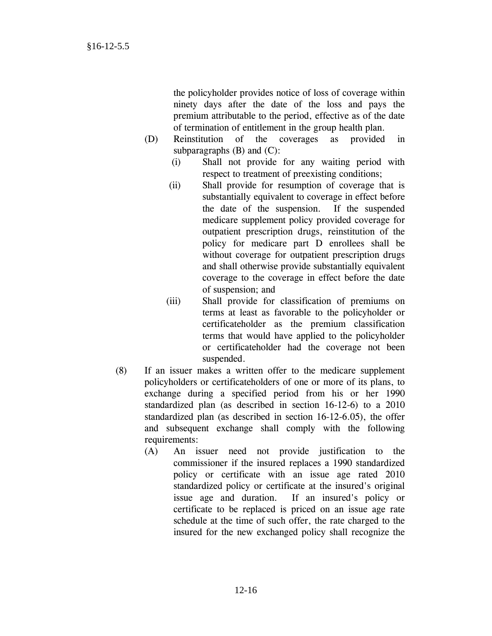the policyholder provides notice of loss of coverage within ninety days after the date of the loss and pays the premium attributable to the period, effective as of the date of termination of entitlement in the group health plan.

- (D) Reinstitution of the coverages as provided in subparagraphs  $(B)$  and  $(C)$ :
	- (i) Shall not provide for any waiting period with respect to treatment of preexisting conditions;
	- (ii) Shall provide for resumption of coverage that is substantially equivalent to coverage in effect before the date of the suspension. If the suspended medicare supplement policy provided coverage for outpatient prescription drugs, reinstitution of the policy for medicare part D enrollees shall be without coverage for outpatient prescription drugs and shall otherwise provide substantially equivalent coverage to the coverage in effect before the date of suspension; and
	- (iii) Shall provide for classification of premiums on terms at least as favorable to the policyholder or certificateholder as the premium classification terms that would have applied to the policyholder or certificateholder had the coverage not been suspended.
- (8) If an issuer makes a written offer to the medicare supplement policyholders or certificateholders of one or more of its plans, to exchange during a specified period from his or her 1990 standardized plan (as described in section 16-12-6) to a 2010 standardized plan (as described in section 16-12-6.05), the offer and subsequent exchange shall comply with the following requirements:
	- (A) An issuer need not provide justification to the commissioner if the insured replaces a 1990 standardized policy or certificate with an issue age rated 2010 standardized policy or certificate at the insured's original issue age and duration. If an insured's policy or certificate to be replaced is priced on an issue age rate schedule at the time of such offer, the rate charged to the insured for the new exchanged policy shall recognize the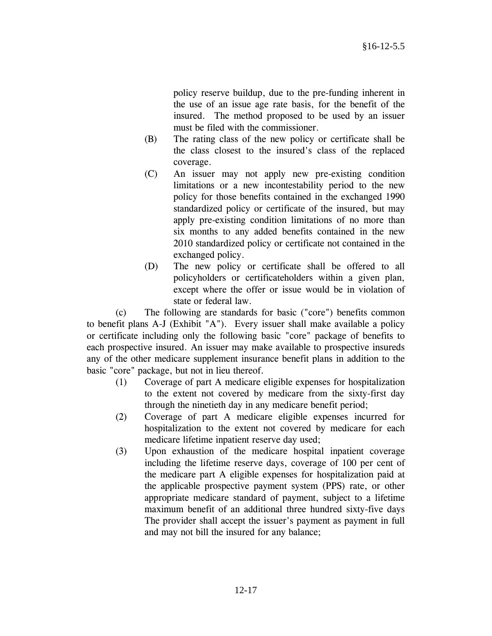policy reserve buildup, due to the pre-funding inherent in the use of an issue age rate basis, for the benefit of the insured. The method proposed to be used by an issuer must be filed with the commissioner.

- (B) The rating class of the new policy or certificate shall be the class closest to the insured's class of the replaced coverage.
- (C) An issuer may not apply new pre-existing condition limitations or a new incontestability period to the new policy for those benefits contained in the exchanged 1990 standardized policy or certificate of the insured, but may apply pre-existing condition limitations of no more than six months to any added benefits contained in the new 2010 standardized policy or certificate not contained in the exchanged policy.
- (D) The new policy or certificate shall be offered to all policyholders or certificateholders within a given plan, except where the offer or issue would be in violation of state or federal law.

 (c) The following are standards for basic ("core") benefits common to benefit plans A-J (Exhibit "A"). Every issuer shall make available a policy or certificate including only the following basic "core" package of benefits to each prospective insured. An issuer may make available to prospective insureds any of the other medicare supplement insurance benefit plans in addition to the basic "core" package, but not in lieu thereof.

- (1) Coverage of part A medicare eligible expenses for hospitalization to the extent not covered by medicare from the sixty-first day through the ninetieth day in any medicare benefit period;
- (2) Coverage of part A medicare eligible expenses incurred for hospitalization to the extent not covered by medicare for each medicare lifetime inpatient reserve day used;
- (3) Upon exhaustion of the medicare hospital inpatient coverage including the lifetime reserve days, coverage of 100 per cent of the medicare part A eligible expenses for hospitalization paid at the applicable prospective payment system (PPS) rate, or other appropriate medicare standard of payment, subject to a lifetime maximum benefit of an additional three hundred sixty-five days The provider shall accept the issuer's payment as payment in full and may not bill the insured for any balance;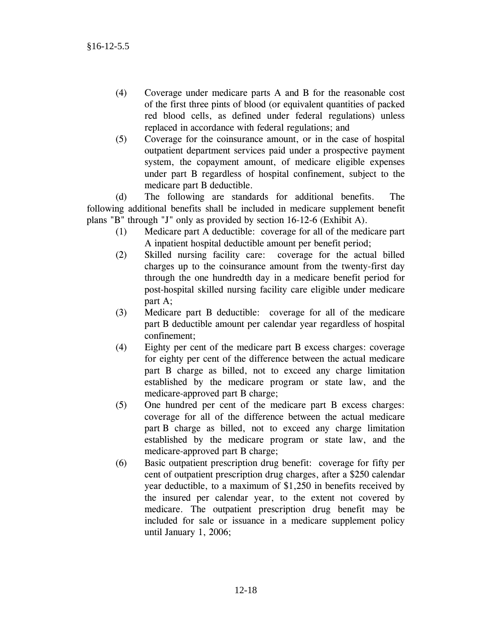- (4) Coverage under medicare parts A and B for the reasonable cost of the first three pints of blood (or equivalent quantities of packed red blood cells, as defined under federal regulations) unless replaced in accordance with federal regulations; and
- (5) Coverage for the coinsurance amount, or in the case of hospital outpatient department services paid under a prospective payment system, the copayment amount, of medicare eligible expenses under part B regardless of hospital confinement, subject to the medicare part B deductible.

 (d) The following are standards for additional benefits. The following additional benefits shall be included in medicare supplement benefit plans "B" through "J" only as provided by section 16-12-6 (Exhibit A).

- (1) Medicare part A deductible: coverage for all of the medicare part A inpatient hospital deductible amount per benefit period;
- (2) Skilled nursing facility care: coverage for the actual billed charges up to the coinsurance amount from the twenty-first day through the one hundredth day in a medicare benefit period for post-hospital skilled nursing facility care eligible under medicare part A;
- (3) Medicare part B deductible: coverage for all of the medicare part B deductible amount per calendar year regardless of hospital confinement;
- (4) Eighty per cent of the medicare part B excess charges: coverage for eighty per cent of the difference between the actual medicare part B charge as billed, not to exceed any charge limitation established by the medicare program or state law, and the medicare-approved part B charge;
- (5) One hundred per cent of the medicare part B excess charges: coverage for all of the difference between the actual medicare part B charge as billed, not to exceed any charge limitation established by the medicare program or state law, and the medicare-approved part B charge;
- (6) Basic outpatient prescription drug benefit: coverage for fifty per cent of outpatient prescription drug charges, after a \$250 calendar year deductible, to a maximum of \$1,250 in benefits received by the insured per calendar year, to the extent not covered by medicare. The outpatient prescription drug benefit may be included for sale or issuance in a medicare supplement policy until January 1, 2006;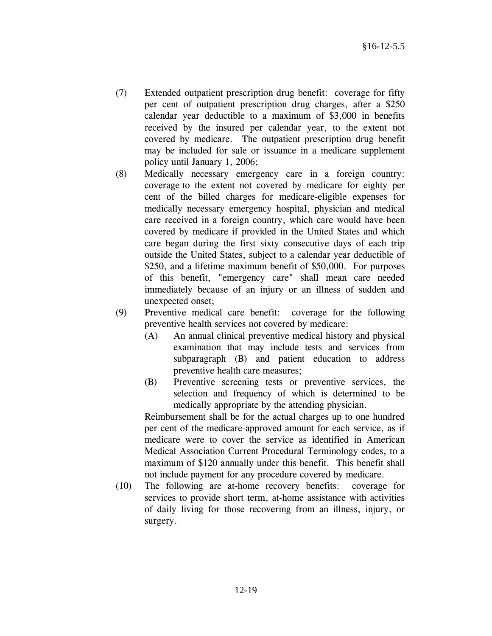- (7) Extended outpatient prescription drug benefit: coverage for fifty per cent of outpatient prescription drug charges, after a \$250 calendar year deductible to a maximum of \$3,000 in benefits received by the insured per calendar year, to the extent not covered by medicare. The outpatient prescription drug benefit may be included for sale or issuance in a medicare supplement policy until January 1, 2006;
- (8) Medically necessary emergency care in a foreign country: coverage to the extent not covered by medicare for eighty per cent of the billed charges for medicare-eligible expenses for medically necessary emergency hospital, physician and medical care received in a foreign country, which care would have been covered by medicare if provided in the United States and which care began during the first sixty consecutive days of each trip outside the United States, subject to a calendar year deductible of \$250, and a lifetime maximum benefit of \$50,000. For purposes of this benefit, "emergency care" shall mean care needed immediately because of an injury or an illness of sudden and unexpected onset;
- (9) Preventive medical care benefit: coverage for the following preventive health services not covered by medicare:
	- (A) An annual clinical preventive medical history and physical examination that may include tests and services from subparagraph (B) and patient education to address preventive health care measures;
	- (B) Preventive screening tests or preventive services, the selection and frequency of which is determined to be medically appropriate by the attending physician.

 Reimbursement shall be for the actual charges up to one hundred per cent of the medicare-approved amount for each service, as if medicare were to cover the service as identified in American Medical Association Current Procedural Terminology codes, to a maximum of \$120 annually under this benefit. This benefit shall not include payment for any procedure covered by medicare.

 (10) The following are at-home recovery benefits: coverage for services to provide short term, at-home assistance with activities of daily living for those recovering from an illness, injury, or surgery.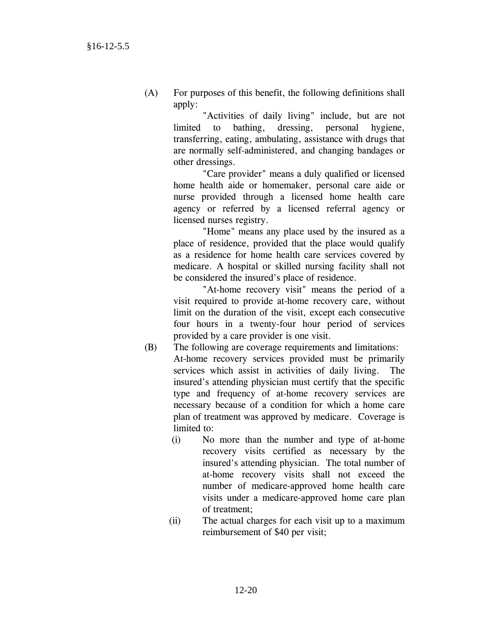(A) For purposes of this benefit, the following definitions shall apply:

> "Activities of daily living" include, but are not limited to bathing, dressing, personal hygiene, transferring, eating, ambulating, assistance with drugs that are normally self-administered, and changing bandages or other dressings.

> "Care provider" means a duly qualified or licensed home health aide or homemaker, personal care aide or nurse provided through a licensed home health care agency or referred by a licensed referral agency or licensed nurses registry.

> "Home" means any place used by the insured as a place of residence, provided that the place would qualify as a residence for home health care services covered by medicare. A hospital or skilled nursing facility shall not be considered the insured's place of residence.

> "At-home recovery visit" means the period of a visit required to provide at-home recovery care, without limit on the duration of the visit, except each consecutive four hours in a twenty-four hour period of services provided by a care provider is one visit.

- (B) The following are coverage requirements and limitations: At-home recovery services provided must be primarily services which assist in activities of daily living. The insured's attending physician must certify that the specific type and frequency of at-home recovery services are necessary because of a condition for which a home care plan of treatment was approved by medicare. Coverage is limited to:
	- (i) No more than the number and type of at-home recovery visits certified as necessary by the insured's attending physician. The total number of at-home recovery visits shall not exceed the number of medicare-approved home health care visits under a medicare-approved home care plan of treatment;
	- (ii) The actual charges for each visit up to a maximum reimbursement of \$40 per visit;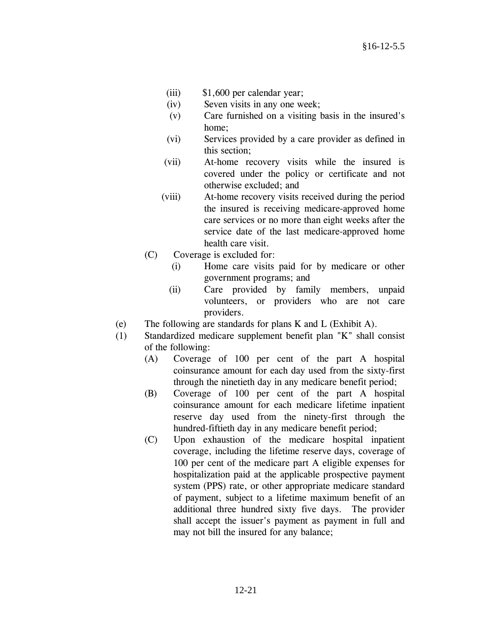- (iii) \$1,600 per calendar year;
- (iv) Seven visits in any one week;
- (v) Care furnished on a visiting basis in the insured's home;
- (vi) Services provided by a care provider as defined in this section;
- (vii) At-home recovery visits while the insured is covered under the policy or certificate and not otherwise excluded; and
- (viii) At-home recovery visits received during the period the insured is receiving medicare-approved home care services or no more than eight weeks after the service date of the last medicare-approved home health care visit.
- (C) Coverage is excluded for:
	- (i) Home care visits paid for by medicare or other government programs; and
	- (ii) Care provided by family members, unpaid volunteers, or providers who are not care providers.
- (e) The following are standards for plans K and L (Exhibit A).
- (1) Standardized medicare supplement benefit plan "K" shall consist of the following:
	- (A) Coverage of 100 per cent of the part A hospital coinsurance amount for each day used from the sixty-first through the ninetieth day in any medicare benefit period;
	- (B) Coverage of 100 per cent of the part A hospital coinsurance amount for each medicare lifetime inpatient reserve day used from the ninety-first through the hundred-fiftieth day in any medicare benefit period;
	- (C) Upon exhaustion of the medicare hospital inpatient coverage, including the lifetime reserve days, coverage of 100 per cent of the medicare part A eligible expenses for hospitalization paid at the applicable prospective payment system (PPS) rate, or other appropriate medicare standard of payment, subject to a lifetime maximum benefit of an additional three hundred sixty five days. The provider shall accept the issuer's payment as payment in full and may not bill the insured for any balance;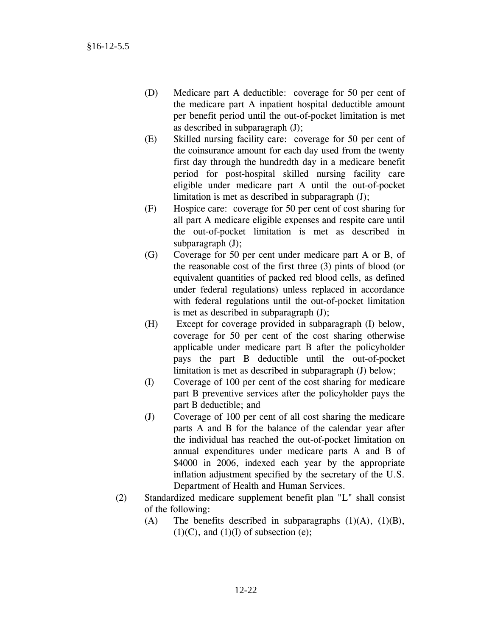- (D) Medicare part A deductible: coverage for 50 per cent of the medicare part A inpatient hospital deductible amount per benefit period until the out-of-pocket limitation is met as described in subparagraph (J);
- (E) Skilled nursing facility care: coverage for 50 per cent of the coinsurance amount for each day used from the twenty first day through the hundredth day in a medicare benefit period for post-hospital skilled nursing facility care eligible under medicare part A until the out-of-pocket limitation is met as described in subparagraph (J);
- (F) Hospice care: coverage for 50 per cent of cost sharing for all part A medicare eligible expenses and respite care until the out-of-pocket limitation is met as described in subparagraph (J);
- (G) Coverage for 50 per cent under medicare part A or B, of the reasonable cost of the first three (3) pints of blood (or equivalent quantities of packed red blood cells, as defined under federal regulations) unless replaced in accordance with federal regulations until the out-of-pocket limitation is met as described in subparagraph (J);
- (H) Except for coverage provided in subparagraph (I) below, coverage for 50 per cent of the cost sharing otherwise applicable under medicare part B after the policyholder pays the part B deductible until the out-of-pocket limitation is met as described in subparagraph (J) below;
- (I) Coverage of 100 per cent of the cost sharing for medicare part B preventive services after the policyholder pays the part B deductible; and
- (J) Coverage of 100 per cent of all cost sharing the medicare parts A and B for the balance of the calendar year after the individual has reached the out-of-pocket limitation on annual expenditures under medicare parts A and B of \$4000 in 2006, indexed each year by the appropriate inflation adjustment specified by the secretary of the U.S. Department of Health and Human Services.
- (2) Standardized medicare supplement benefit plan "L" shall consist of the following:
	- (A) The benefits described in subparagraphs  $(1)(A)$ ,  $(1)(B)$ ,  $(1)(C)$ , and  $(1)(I)$  of subsection (e);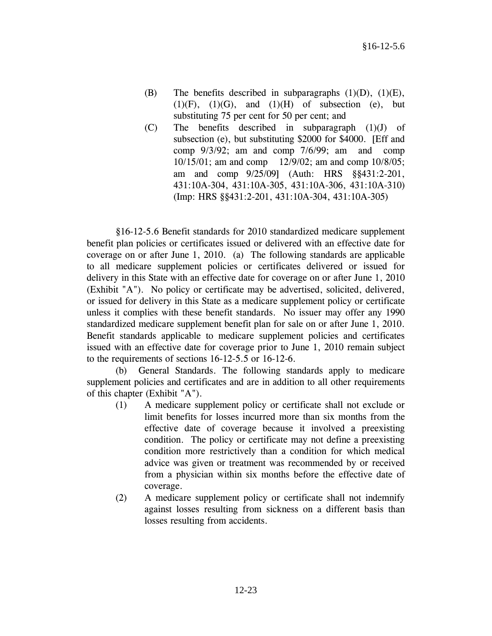- (B) The benefits described in subparagraphs  $(1)(D)$ ,  $(1)(E)$ ,  $(1)(F)$ ,  $(1)(G)$ , and  $(1)(H)$  of subsection (e), but substituting 75 per cent for 50 per cent; and
- (C) The benefits described in subparagraph (1)(J) of subsection (e), but substituting \$2000 for \$4000. [Eff and comp 9/3/92; am and comp 7/6/99; am and comp 10/15/01; am and comp 12/9/02; am and comp 10/8/05; am and comp 9/25/09] (Auth: HRS §§431:2-201, 431:10A-304, 431:10A-305, 431:10A-306, 431:10A-310) (Imp: HRS §§431:2-201, 431:10A-304, 431:10A-305)

 §16-12-5.6 Benefit standards for 2010 standardized medicare supplement benefit plan policies or certificates issued or delivered with an effective date for coverage on or after June 1, 2010. (a) The following standards are applicable to all medicare supplement policies or certificates delivered or issued for delivery in this State with an effective date for coverage on or after June 1, 2010 (Exhibit "A"). No policy or certificate may be advertised, solicited, delivered, or issued for delivery in this State as a medicare supplement policy or certificate unless it complies with these benefit standards. No issuer may offer any 1990 standardized medicare supplement benefit plan for sale on or after June 1, 2010. Benefit standards applicable to medicare supplement policies and certificates issued with an effective date for coverage prior to June 1, 2010 remain subject to the requirements of sections 16-12-5.5 or 16-12-6.

 (b) General Standards. The following standards apply to medicare supplement policies and certificates and are in addition to all other requirements of this chapter (Exhibit "A").

- (1) A medicare supplement policy or certificate shall not exclude or limit benefits for losses incurred more than six months from the effective date of coverage because it involved a preexisting condition. The policy or certificate may not define a preexisting condition more restrictively than a condition for which medical advice was given or treatment was recommended by or received from a physician within six months before the effective date of coverage.
- (2) A medicare supplement policy or certificate shall not indemnify against losses resulting from sickness on a different basis than losses resulting from accidents.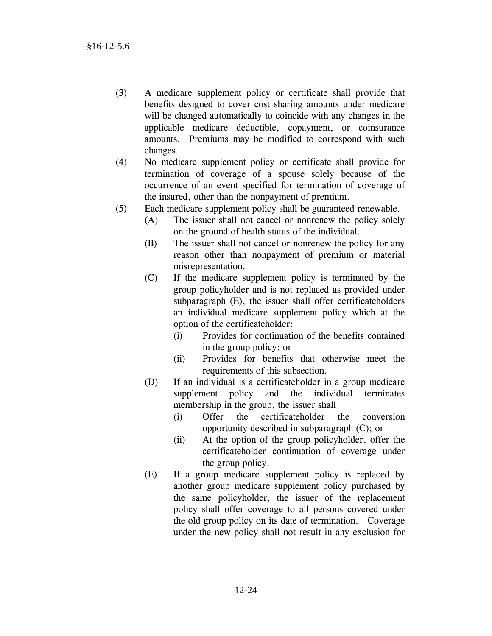- (3) A medicare supplement policy or certificate shall provide that benefits designed to cover cost sharing amounts under medicare will be changed automatically to coincide with any changes in the applicable medicare deductible, copayment, or coinsurance amounts. Premiums may be modified to correspond with such changes.
- (4) No medicare supplement policy or certificate shall provide for termination of coverage of a spouse solely because of the occurrence of an event specified for termination of coverage of the insured, other than the nonpayment of premium.
- (5) Each medicare supplement policy shall be guaranteed renewable.
	- (A) The issuer shall not cancel or nonrenew the policy solely on the ground of health status of the individual.
	- (B) The issuer shall not cancel or nonrenew the policy for any reason other than nonpayment of premium or material misrepresentation.
	- (C) If the medicare supplement policy is terminated by the group policyholder and is not replaced as provided under subparagraph (E), the issuer shall offer certificateholders an individual medicare supplement policy which at the option of the certificateholder:
		- (i) Provides for continuation of the benefits contained in the group policy; or
		- (ii) Provides for benefits that otherwise meet the requirements of this subsection.
	- (D) If an individual is a certificateholder in a group medicare supplement policy and the individual terminates membership in the group, the issuer shall
		- (i) Offer the certificateholder the conversion opportunity described in subparagraph (C); or
		- (ii) At the option of the group policyholder, offer the certificateholder continuation of coverage under the group policy.
	- (E) If a group medicare supplement policy is replaced by another group medicare supplement policy purchased by the same policyholder, the issuer of the replacement policy shall offer coverage to all persons covered under the old group policy on its date of termination. Coverage under the new policy shall not result in any exclusion for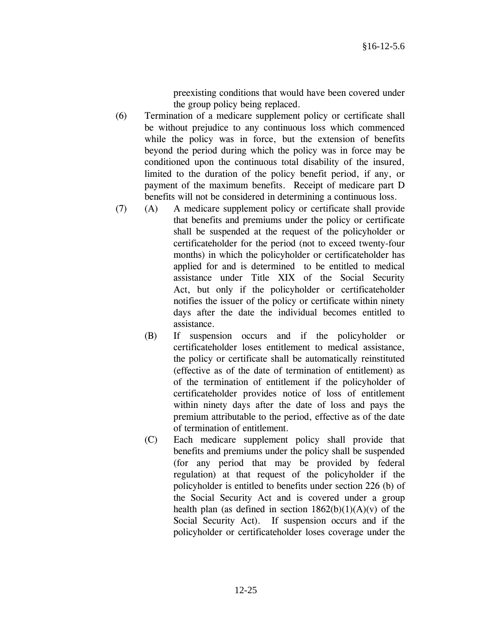preexisting conditions that would have been covered under the group policy being replaced.

- (6) Termination of a medicare supplement policy or certificate shall be without prejudice to any continuous loss which commenced while the policy was in force, but the extension of benefits beyond the period during which the policy was in force may be conditioned upon the continuous total disability of the insured, limited to the duration of the policy benefit period, if any, or payment of the maximum benefits. Receipt of medicare part D benefits will not be considered in determining a continuous loss.
- (7) (A) A medicare supplement policy or certificate shall provide that benefits and premiums under the policy or certificate shall be suspended at the request of the policyholder or certificateholder for the period (not to exceed twenty-four months) in which the policyholder or certificateholder has applied for and is determined to be entitled to medical assistance under Title XIX of the Social Security Act, but only if the policyholder or certificateholder notifies the issuer of the policy or certificate within ninety days after the date the individual becomes entitled to assistance.
	- (B) If suspension occurs and if the policyholder or certificateholder loses entitlement to medical assistance, the policy or certificate shall be automatically reinstituted (effective as of the date of termination of entitlement) as of the termination of entitlement if the policyholder of certificateholder provides notice of loss of entitlement within ninety days after the date of loss and pays the premium attributable to the period, effective as of the date of termination of entitlement.
	- (C) Each medicare supplement policy shall provide that benefits and premiums under the policy shall be suspended (for any period that may be provided by federal regulation) at that request of the policyholder if the policyholder is entitled to benefits under section 226 (b) of the Social Security Act and is covered under a group health plan (as defined in section  $1862(b)(1)(A)(v)$  of the Social Security Act). If suspension occurs and if the policyholder or certificateholder loses coverage under the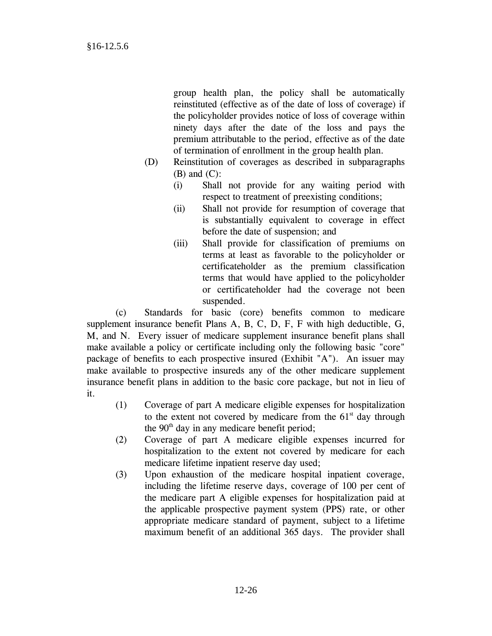group health plan, the policy shall be automatically reinstituted (effective as of the date of loss of coverage) if the policyholder provides notice of loss of coverage within ninety days after the date of the loss and pays the premium attributable to the period, effective as of the date of termination of enrollment in the group health plan.

- (D) Reinstitution of coverages as described in subparagraphs  $(B)$  and  $(C)$ :
	- (i) Shall not provide for any waiting period with respect to treatment of preexisting conditions;
	- (ii) Shall not provide for resumption of coverage that is substantially equivalent to coverage in effect before the date of suspension; and
	- (iii) Shall provide for classification of premiums on terms at least as favorable to the policyholder or certificateholder as the premium classification terms that would have applied to the policyholder or certificateholder had the coverage not been suspended.

 (c) Standards for basic (core) benefits common to medicare supplement insurance benefit Plans A, B, C, D, F, F with high deductible, G, M, and N. Every issuer of medicare supplement insurance benefit plans shall make available a policy or certificate including only the following basic "core" package of benefits to each prospective insured (Exhibit "A"). An issuer may make available to prospective insureds any of the other medicare supplement insurance benefit plans in addition to the basic core package, but not in lieu of it.

- (1) Coverage of part A medicare eligible expenses for hospitalization to the extent not covered by medicare from the  $61<sup>st</sup>$  day through the  $90<sup>th</sup>$  day in any medicare benefit period;
- (2) Coverage of part A medicare eligible expenses incurred for hospitalization to the extent not covered by medicare for each medicare lifetime inpatient reserve day used;
- (3) Upon exhaustion of the medicare hospital inpatient coverage, including the lifetime reserve days, coverage of 100 per cent of the medicare part A eligible expenses for hospitalization paid at the applicable prospective payment system (PPS) rate, or other appropriate medicare standard of payment, subject to a lifetime maximum benefit of an additional 365 days. The provider shall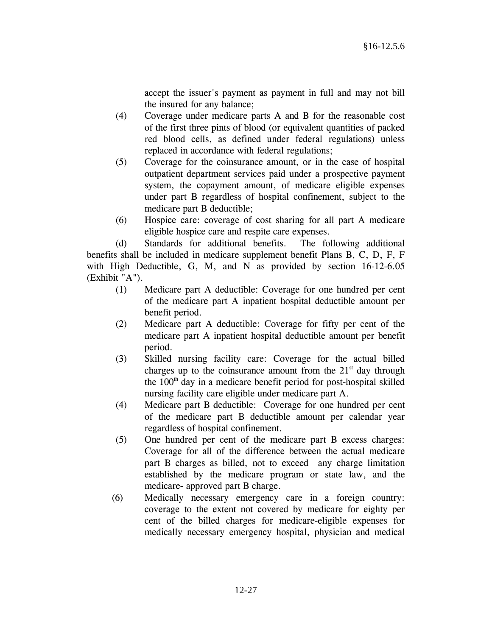accept the issuer's payment as payment in full and may not bill the insured for any balance;

- (4) Coverage under medicare parts A and B for the reasonable cost of the first three pints of blood (or equivalent quantities of packed red blood cells, as defined under federal regulations) unless replaced in accordance with federal regulations;
- (5) Coverage for the coinsurance amount, or in the case of hospital outpatient department services paid under a prospective payment system, the copayment amount, of medicare eligible expenses under part B regardless of hospital confinement, subject to the medicare part B deductible;
- (6) Hospice care: coverage of cost sharing for all part A medicare eligible hospice care and respite care expenses.

 (d) Standards for additional benefits. The following additional benefits shall be included in medicare supplement benefit Plans B, C, D, F, F with High Deductible, G, M, and N as provided by section 16-12-6.05 (Exhibit "A").

- (1) Medicare part A deductible: Coverage for one hundred per cent of the medicare part A inpatient hospital deductible amount per benefit period.
- (2) Medicare part A deductible: Coverage for fifty per cent of the medicare part A inpatient hospital deductible amount per benefit period.
- (3) Skilled nursing facility care: Coverage for the actual billed charges up to the coinsurance amount from the  $21<sup>st</sup>$  day through the  $100<sup>th</sup>$  day in a medicare benefit period for post-hospital skilled nursing facility care eligible under medicare part A.
- (4) Medicare part B deductible: Coverage for one hundred per cent of the medicare part B deductible amount per calendar year regardless of hospital confinement.
- (5) One hundred per cent of the medicare part B excess charges: Coverage for all of the difference between the actual medicare part B charges as billed, not to exceed any charge limitation established by the medicare program or state law, and the medicare- approved part B charge.
- (6) Medically necessary emergency care in a foreign country: coverage to the extent not covered by medicare for eighty per cent of the billed charges for medicare-eligible expenses for medically necessary emergency hospital, physician and medical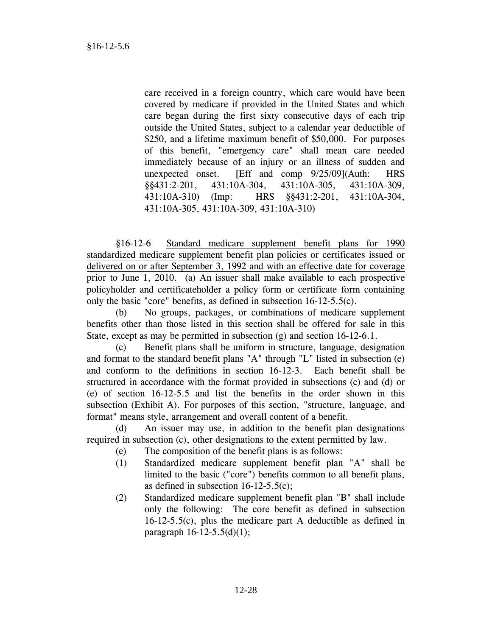care received in a foreign country, which care would have been covered by medicare if provided in the United States and which care began during the first sixty consecutive days of each trip outside the United States, subject to a calendar year deductible of \$250, and a lifetime maximum benefit of \$50,000. For purposes of this benefit, "emergency care" shall mean care needed immediately because of an injury or an illness of sudden and unexpected onset. [Eff and comp 9/25/09](Auth: HRS §§431:2-201, 431:10A-304, 431:10A-305, 431:10A-309, 431:10A-310) (Imp: HRS §§431:2-201, 431:10A-304, 431:10A-305, 431:10A-309, 431:10A-310)

 §16-12-6 Standard medicare supplement benefit plans for 1990 standardized medicare supplement benefit plan policies or certificates issued or delivered on or after September 3, 1992 and with an effective date for coverage prior to June 1, 2010. (a) An issuer shall make available to each prospective policyholder and certificateholder a policy form or certificate form containing only the basic "core" benefits, as defined in subsection 16-12-5.5(c).

 (b) No groups, packages, or combinations of medicare supplement benefits other than those listed in this section shall be offered for sale in this State, except as may be permitted in subsection (g) and section 16-12-6.1.

 (c) Benefit plans shall be uniform in structure, language, designation and format to the standard benefit plans "A" through "L" listed in subsection (e) and conform to the definitions in section 16-12-3. Each benefit shall be structured in accordance with the format provided in subsections (c) and (d) or (e) of section 16-12-5.5 and list the benefits in the order shown in this subsection (Exhibit A). For purposes of this section, "structure, language, and format" means style, arrangement and overall content of a benefit.

 (d) An issuer may use, in addition to the benefit plan designations required in subsection (c), other designations to the extent permitted by law.

- (e) The composition of the benefit plans is as follows:
- (1) Standardized medicare supplement benefit plan "A" shall be limited to the basic ("core") benefits common to all benefit plans, as defined in subsection 16-12-5.5(c);
- (2) Standardized medicare supplement benefit plan "B" shall include only the following: The core benefit as defined in subsection 16-12-5.5(c), plus the medicare part A deductible as defined in paragraph 16-12-5.5(d)(1);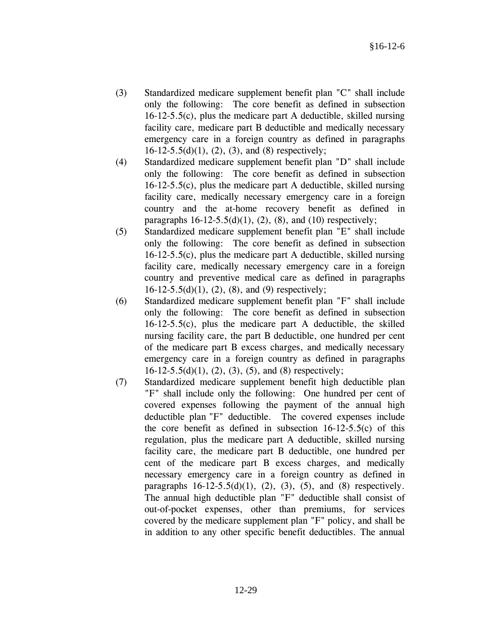- (3) Standardized medicare supplement benefit plan "C" shall include only the following: The core benefit as defined in subsection 16-12-5.5(c), plus the medicare part A deductible, skilled nursing facility care, medicare part B deductible and medically necessary emergency care in a foreign country as defined in paragraphs  $16-12-5.5(d)(1)$ ,  $(2)$ ,  $(3)$ , and  $(8)$  respectively;
- (4) Standardized medicare supplement benefit plan "D" shall include only the following: The core benefit as defined in subsection 16-12-5.5(c), plus the medicare part A deductible, skilled nursing facility care, medically necessary emergency care in a foreign country and the at-home recovery benefit as defined in paragraphs  $16-12-5.5(d)(1)$ ,  $(2)$ ,  $(8)$ , and  $(10)$  respectively;
- (5) Standardized medicare supplement benefit plan "E" shall include only the following: The core benefit as defined in subsection 16-12-5.5(c), plus the medicare part A deductible, skilled nursing facility care, medically necessary emergency care in a foreign country and preventive medical care as defined in paragraphs  $16-12-5.5(d)(1)$ ,  $(2)$ ,  $(8)$ , and  $(9)$  respectively;
- (6) Standardized medicare supplement benefit plan "F" shall include only the following: The core benefit as defined in subsection 16-12-5.5(c), plus the medicare part A deductible, the skilled nursing facility care, the part B deductible, one hundred per cent of the medicare part B excess charges, and medically necessary emergency care in a foreign country as defined in paragraphs  $16-12-5.5(d)(1)$ ,  $(2)$ ,  $(3)$ ,  $(5)$ , and  $(8)$  respectively;
- (7) Standardized medicare supplement benefit high deductible plan "F" shall include only the following: One hundred per cent of covered expenses following the payment of the annual high deductible plan "F" deductible. The covered expenses include the core benefit as defined in subsection 16-12-5.5(c) of this regulation, plus the medicare part A deductible, skilled nursing facility care, the medicare part B deductible, one hundred per cent of the medicare part B excess charges, and medically necessary emergency care in a foreign country as defined in paragraphs  $16-12-5.5(d)(1)$ ,  $(2)$ ,  $(3)$ ,  $(5)$ , and  $(8)$  respectively. The annual high deductible plan "F" deductible shall consist of out-of-pocket expenses, other than premiums, for services covered by the medicare supplement plan "F" policy, and shall be in addition to any other specific benefit deductibles. The annual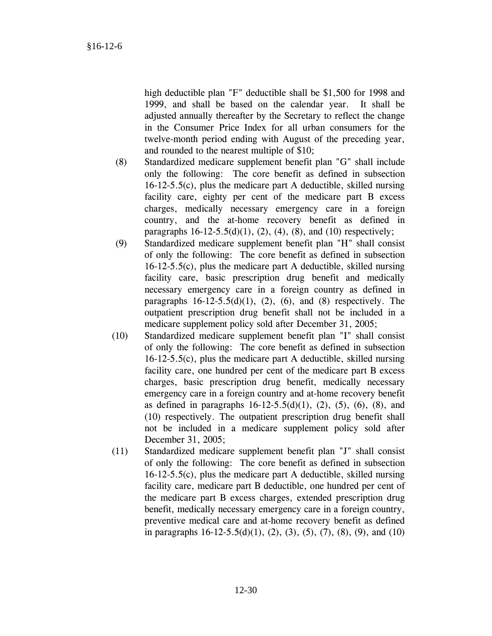high deductible plan "F" deductible shall be \$1,500 for 1998 and 1999, and shall be based on the calendar year. It shall be adjusted annually thereafter by the Secretary to reflect the change in the Consumer Price Index for all urban consumers for the twelve-month period ending with August of the preceding year, and rounded to the nearest multiple of \$10;

- (8) Standardized medicare supplement benefit plan "G" shall include only the following: The core benefit as defined in subsection 16-12-5.5(c), plus the medicare part A deductible, skilled nursing facility care, eighty per cent of the medicare part B excess charges, medically necessary emergency care in a foreign country, and the at-home recovery benefit as defined in paragraphs  $16-12-5.5(d)(1)$ ,  $(2)$ ,  $(4)$ ,  $(8)$ , and  $(10)$  respectively;
- (9) Standardized medicare supplement benefit plan "H" shall consist of only the following: The core benefit as defined in subsection 16-12-5.5(c), plus the medicare part A deductible, skilled nursing facility care, basic prescription drug benefit and medically necessary emergency care in a foreign country as defined in paragraphs  $16-12-5.5(d)(1)$ ,  $(2)$ ,  $(6)$ , and  $(8)$  respectively. The outpatient prescription drug benefit shall not be included in a medicare supplement policy sold after December 31, 2005;
- (10) Standardized medicare supplement benefit plan "I" shall consist of only the following: The core benefit as defined in subsection 16-12-5.5(c), plus the medicare part A deductible, skilled nursing facility care, one hundred per cent of the medicare part B excess charges, basic prescription drug benefit, medically necessary emergency care in a foreign country and at-home recovery benefit as defined in paragraphs  $16-12-5.5(d)(1)$ ,  $(2)$ ,  $(5)$ ,  $(6)$ ,  $(8)$ , and (10) respectively. The outpatient prescription drug benefit shall not be included in a medicare supplement policy sold after December 31, 2005;
- (11) Standardized medicare supplement benefit plan "J" shall consist of only the following: The core benefit as defined in subsection 16-12-5.5(c), plus the medicare part A deductible, skilled nursing facility care, medicare part B deductible, one hundred per cent of the medicare part B excess charges, extended prescription drug benefit, medically necessary emergency care in a foreign country, preventive medical care and at-home recovery benefit as defined in paragraphs  $16-12-5.5(d)(1)$ ,  $(2)$ ,  $(3)$ ,  $(5)$ ,  $(7)$ ,  $(8)$ ,  $(9)$ , and  $(10)$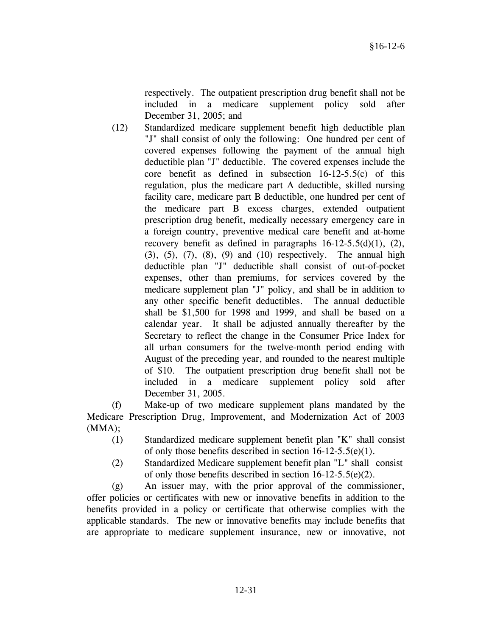respectively. The outpatient prescription drug benefit shall not be included in a medicare supplement policy sold after December 31, 2005; and

(12) Standardized medicare supplement benefit high deductible plan "J" shall consist of only the following: One hundred per cent of covered expenses following the payment of the annual high deductible plan "J" deductible. The covered expenses include the core benefit as defined in subsection 16-12-5.5(c) of this regulation, plus the medicare part A deductible, skilled nursing facility care, medicare part B deductible, one hundred per cent of the medicare part B excess charges, extended outpatient prescription drug benefit, medically necessary emergency care in a foreign country, preventive medical care benefit and at-home recovery benefit as defined in paragraphs  $16-12-5.5(d)(1)$ ,  $(2)$ ,  $(3)$ ,  $(5)$ ,  $(7)$ ,  $(8)$ ,  $(9)$  and  $(10)$  respectively. The annual high deductible plan "J" deductible shall consist of out-of-pocket expenses, other than premiums, for services covered by the medicare supplement plan "J" policy, and shall be in addition to any other specific benefit deductibles. The annual deductible shall be \$1,500 for 1998 and 1999, and shall be based on a calendar year. It shall be adjusted annually thereafter by the Secretary to reflect the change in the Consumer Price Index for all urban consumers for the twelve-month period ending with August of the preceding year, and rounded to the nearest multiple of \$10. The outpatient prescription drug benefit shall not be included in a medicare supplement policy sold after December 31, 2005.

 (f) Make-up of two medicare supplement plans mandated by the Medicare Prescription Drug, Improvement, and Modernization Act of 2003 (MMA);

- (1) Standardized medicare supplement benefit plan "K" shall consist of only those benefits described in section 16-12-5.5(e)(1).
- (2) Standardized Medicare supplement benefit plan "L" shall consist of only those benefits described in section 16-12-5.5(e)(2).

 (g) An issuer may, with the prior approval of the commissioner, offer policies or certificates with new or innovative benefits in addition to the benefits provided in a policy or certificate that otherwise complies with the applicable standards. The new or innovative benefits may include benefits that are appropriate to medicare supplement insurance, new or innovative, not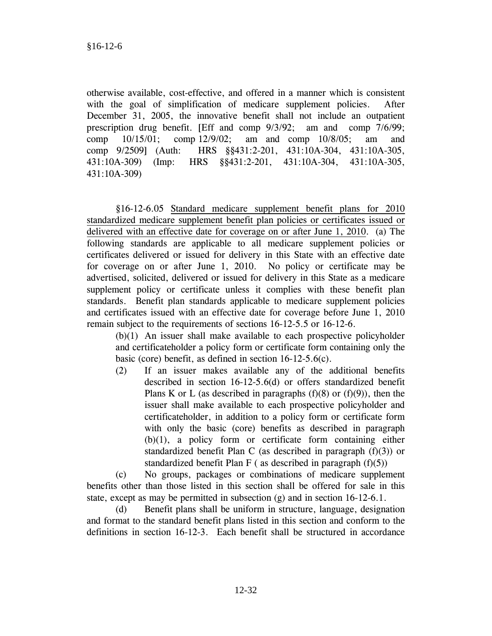otherwise available, cost-effective, and offered in a manner which is consistent with the goal of simplification of medicare supplement policies. After December 31, 2005, the innovative benefit shall not include an outpatient prescription drug benefit. [Eff and comp 9/3/92; am and comp 7/6/99; comp 10/15/01; comp 12/9/02; am and comp 10/8/05; am and comp 9/2509] (Auth: HRS §§431:2-201, 431:10A-304, 431:10A-305, 431:10A-309) (Imp: HRS §§431:2-201, 431:10A-304, 431:10A-305, 431:10A-309)

 §16-12-6.05 Standard medicare supplement benefit plans for 2010 standardized medicare supplement benefit plan policies or certificates issued or delivered with an effective date for coverage on or after June 1, 2010. (a) The following standards are applicable to all medicare supplement policies or certificates delivered or issued for delivery in this State with an effective date for coverage on or after June 1, 2010. No policy or certificate may be advertised, solicited, delivered or issued for delivery in this State as a medicare supplement policy or certificate unless it complies with these benefit plan standards. Benefit plan standards applicable to medicare supplement policies and certificates issued with an effective date for coverage before June 1, 2010 remain subject to the requirements of sections 16-12-5.5 or 16-12-6.

 (b)(1) An issuer shall make available to each prospective policyholder and certificateholder a policy form or certificate form containing only the basic (core) benefit, as defined in section 16-12-5.6(c).

(2) If an issuer makes available any of the additional benefits described in section 16-12-5.6(d) or offers standardized benefit Plans K or L (as described in paragraphs  $(f)(8)$  or  $(f)(9)$ ), then the issuer shall make available to each prospective policyholder and certificateholder, in addition to a policy form or certificate form with only the basic (core) benefits as described in paragraph (b)(1), a policy form or certificate form containing either standardized benefit Plan C (as described in paragraph (f)(3)) or standardized benefit Plan F (as described in paragraph  $(f)(5)$ )

(c) No groups, packages or combinations of medicare supplement benefits other than those listed in this section shall be offered for sale in this state, except as may be permitted in subsection (g) and in section 16-12-6.1.

(d) Benefit plans shall be uniform in structure, language, designation and format to the standard benefit plans listed in this section and conform to the definitions in section 16-12-3. Each benefit shall be structured in accordance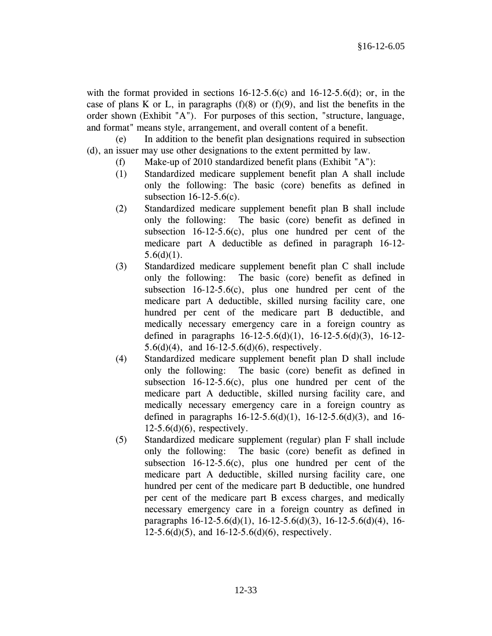with the format provided in sections  $16-12-5.6(c)$  and  $16-12-5.6(d)$ ; or, in the case of plans K or L, in paragraphs  $(f)(8)$  or  $(f)(9)$ , and list the benefits in the order shown (Exhibit "A"). For purposes of this section, "structure, language, and format" means style, arrangement, and overall content of a benefit.

(e) In addition to the benefit plan designations required in subsection (d), an issuer may use other designations to the extent permitted by law.

- (f) Make-up of 2010 standardized benefit plans (Exhibit "A"):
- (1) Standardized medicare supplement benefit plan A shall include only the following: The basic (core) benefits as defined in subsection 16-12-5.6(c).
- (2) Standardized medicare supplement benefit plan B shall include only the following: The basic (core) benefit as defined in subsection  $16-12-5.6(c)$ , plus one hundred per cent of the medicare part A deductible as defined in paragraph 16-12-  $5.6(d)(1)$ .
- (3) Standardized medicare supplement benefit plan C shall include only the following: The basic (core) benefit as defined in subsection  $16-12-5.6(c)$ , plus one hundred per cent of the medicare part A deductible, skilled nursing facility care, one hundred per cent of the medicare part B deductible, and medically necessary emergency care in a foreign country as defined in paragraphs 16-12-5.6(d)(1), 16-12-5.6(d)(3), 16-12- 5.6(d)(4), and 16-12-5.6(d)(6), respectively.
- (4) Standardized medicare supplement benefit plan D shall include only the following: The basic (core) benefit as defined in subsection 16-12-5.6(c), plus one hundred per cent of the medicare part A deductible, skilled nursing facility care, and medically necessary emergency care in a foreign country as defined in paragraphs  $16-12-5.6(d)(1)$ ,  $16-12-5.6(d)(3)$ , and  $16 12-5.6(d)(6)$ , respectively.
- (5) Standardized medicare supplement (regular) plan F shall include only the following: The basic (core) benefit as defined in subsection  $16-12-5.6(c)$ , plus one hundred per cent of the medicare part A deductible, skilled nursing facility care, one hundred per cent of the medicare part B deductible, one hundred per cent of the medicare part B excess charges, and medically necessary emergency care in a foreign country as defined in paragraphs 16-12-5.6(d)(1), 16-12-5.6(d)(3), 16-12-5.6(d)(4), 16- 12-5.6(d)(5), and 16-12-5.6(d)(6), respectively.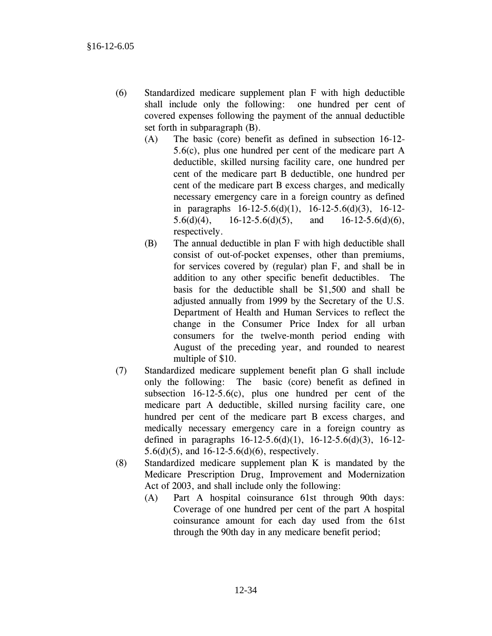- (6) Standardized medicare supplement plan F with high deductible shall include only the following: one hundred per cent of covered expenses following the payment of the annual deductible set forth in subparagraph (B).
	- (A) The basic (core) benefit as defined in subsection 16-12- 5.6(c), plus one hundred per cent of the medicare part A deductible, skilled nursing facility care, one hundred per cent of the medicare part B deductible, one hundred per cent of the medicare part B excess charges, and medically necessary emergency care in a foreign country as defined in paragraphs 16-12-5.6(d)(1), 16-12-5.6(d)(3), 16-12- 5.6(d)(4), 16-12-5.6(d)(5), and 16-12-5.6(d)(6), respectively.
	- (B) The annual deductible in plan F with high deductible shall consist of out-of-pocket expenses, other than premiums, for services covered by (regular) plan F, and shall be in addition to any other specific benefit deductibles. The basis for the deductible shall be \$1,500 and shall be adjusted annually from 1999 by the Secretary of the U.S. Department of Health and Human Services to reflect the change in the Consumer Price Index for all urban consumers for the twelve-month period ending with August of the preceding year, and rounded to nearest multiple of \$10.
- (7) Standardized medicare supplement benefit plan G shall include only the following: The basic (core) benefit as defined in subsection 16-12-5.6(c), plus one hundred per cent of the medicare part A deductible, skilled nursing facility care, one hundred per cent of the medicare part B excess charges, and medically necessary emergency care in a foreign country as defined in paragraphs 16-12-5.6(d)(1), 16-12-5.6(d)(3), 16-12- 5.6(d)(5), and 16-12-5.6(d)(6), respectively.
- (8) Standardized medicare supplement plan K is mandated by the Medicare Prescription Drug, Improvement and Modernization Act of 2003, and shall include only the following:
	- (A) Part A hospital coinsurance 61st through 90th days: Coverage of one hundred per cent of the part A hospital coinsurance amount for each day used from the 61st through the 90th day in any medicare benefit period;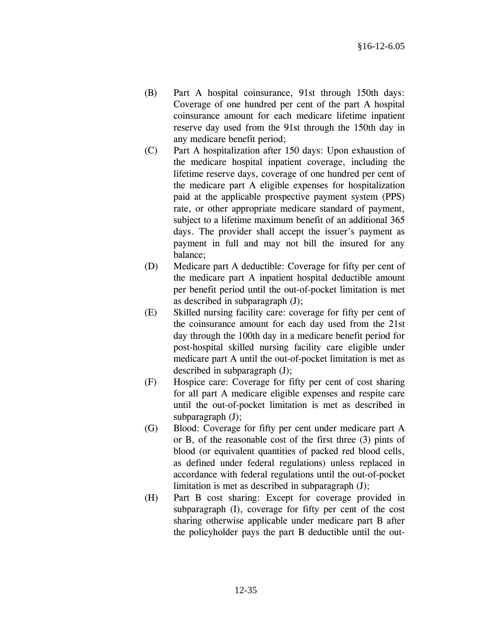- (B) Part A hospital coinsurance, 91st through 150th days: Coverage of one hundred per cent of the part A hospital coinsurance amount for each medicare lifetime inpatient reserve day used from the 91st through the 150th day in any medicare benefit period;
- (C) Part A hospitalization after 150 days: Upon exhaustion of the medicare hospital inpatient coverage, including the lifetime reserve days, coverage of one hundred per cent of the medicare part A eligible expenses for hospitalization paid at the applicable prospective payment system (PPS) rate, or other appropriate medicare standard of payment, subject to a lifetime maximum benefit of an additional 365 days. The provider shall accept the issuer's payment as payment in full and may not bill the insured for any balance;
- (D) Medicare part A deductible: Coverage for fifty per cent of the medicare part A inpatient hospital deductible amount per benefit period until the out-of-pocket limitation is met as described in subparagraph (J);
- (E) Skilled nursing facility care: coverage for fifty per cent of the coinsurance amount for each day used from the 21st day through the 100th day in a medicare benefit period for post-hospital skilled nursing facility care eligible under medicare part A until the out-of-pocket limitation is met as described in subparagraph (J);
- (F) Hospice care: Coverage for fifty per cent of cost sharing for all part A medicare eligible expenses and respite care until the out-of-pocket limitation is met as described in subparagraph (J);
- (G) Blood: Coverage for fifty per cent under medicare part A or B, of the reasonable cost of the first three (3) pints of blood (or equivalent quantities of packed red blood cells, as defined under federal regulations) unless replaced in accordance with federal regulations until the out-of-pocket limitation is met as described in subparagraph (J);
- (H) Part B cost sharing: Except for coverage provided in subparagraph (I), coverage for fifty per cent of the cost sharing otherwise applicable under medicare part B after the policyholder pays the part B deductible until the out-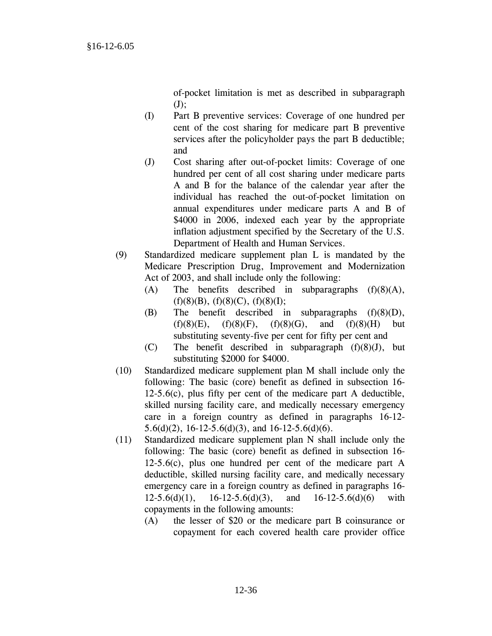of-pocket limitation is met as described in subparagraph  $(J)$ ;

- (I) Part B preventive services: Coverage of one hundred per cent of the cost sharing for medicare part B preventive services after the policyholder pays the part B deductible; and
- (J) Cost sharing after out-of-pocket limits: Coverage of one hundred per cent of all cost sharing under medicare parts A and B for the balance of the calendar year after the individual has reached the out-of-pocket limitation on annual expenditures under medicare parts A and B of \$4000 in 2006, indexed each year by the appropriate inflation adjustment specified by the Secretary of the U.S. Department of Health and Human Services.
- (9) Standardized medicare supplement plan L is mandated by the Medicare Prescription Drug, Improvement and Modernization Act of 2003, and shall include only the following:
	- (A) The benefits described in subparagraphs (f)(8)(A),  $(f)(8)(B)$ ,  $(f)(8)(C)$ ,  $(f)(8)(I)$ ;
	- (B) The benefit described in subparagraphs (f)(8)(D),  $(f)(8)(E)$ ,  $(f)(8)(F)$ ,  $(f)(8)(G)$ , and  $(f)(8)(H)$  but substituting seventy-five per cent for fifty per cent and
	- (C) The benefit described in subparagraph (f)(8)(J), but substituting \$2000 for \$4000.
- (10) Standardized medicare supplement plan M shall include only the following: The basic (core) benefit as defined in subsection 16- 12-5.6(c), plus fifty per cent of the medicare part A deductible, skilled nursing facility care, and medically necessary emergency care in a foreign country as defined in paragraphs 16-12- 5.6(d)(2), 16-12-5.6(d)(3), and 16-12-5.6(d)(6).
- (11) Standardized medicare supplement plan N shall include only the following: The basic (core) benefit as defined in subsection 16- 12-5.6(c), plus one hundred per cent of the medicare part A deductible, skilled nursing facility care, and medically necessary emergency care in a foreign country as defined in paragraphs 16-  $12-5.6(d)(1)$ ,  $16-12-5.6(d)(3)$ , and  $16-12-5.6(d)(6)$  with copayments in the following amounts:
	- (A) the lesser of \$20 or the medicare part B coinsurance or copayment for each covered health care provider office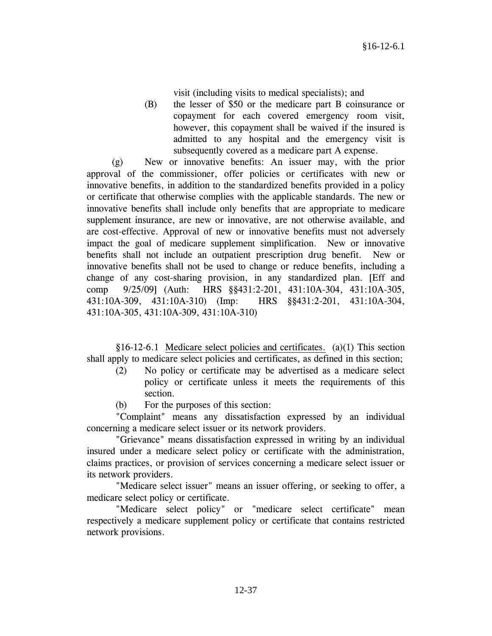visit (including visits to medical specialists); and

(B) the lesser of \$50 or the medicare part B coinsurance or copayment for each covered emergency room visit, however, this copayment shall be waived if the insured is admitted to any hospital and the emergency visit is subsequently covered as a medicare part A expense.

 (g) New or innovative benefits: An issuer may, with the prior approval of the commissioner, offer policies or certificates with new or innovative benefits, in addition to the standardized benefits provided in a policy or certificate that otherwise complies with the applicable standards. The new or innovative benefits shall include only benefits that are appropriate to medicare supplement insurance, are new or innovative, are not otherwise available, and are cost-effective. Approval of new or innovative benefits must not adversely impact the goal of medicare supplement simplification. New or innovative benefits shall not include an outpatient prescription drug benefit. New or innovative benefits shall not be used to change or reduce benefits, including a change of any cost-sharing provision, in any standardized plan. [Eff and comp 9/25/09] (Auth: HRS §§431:2-201, 431:10A-304, 431:10A-305, 431:10A-309, 431:10A-310) (Imp: HRS §§431:2-201, 431:10A-304, 431:10A-305, 431:10A-309, 431:10A-310)

 §16-12-6.1 Medicare select policies and certificates. (a)(1) This section shall apply to medicare select policies and certificates, as defined in this section;

- (2) No policy or certificate may be advertised as a medicare select policy or certificate unless it meets the requirements of this section.
- (b) For the purposes of this section:

 "Complaint" means any dissatisfaction expressed by an individual concerning a medicare select issuer or its network providers.

 "Grievance" means dissatisfaction expressed in writing by an individual insured under a medicare select policy or certificate with the administration, claims practices, or provision of services concerning a medicare select issuer or its network providers.

 "Medicare select issuer" means an issuer offering, or seeking to offer, a medicare select policy or certificate.

 "Medicare select policy" or "medicare select certificate" mean respectively a medicare supplement policy or certificate that contains restricted network provisions.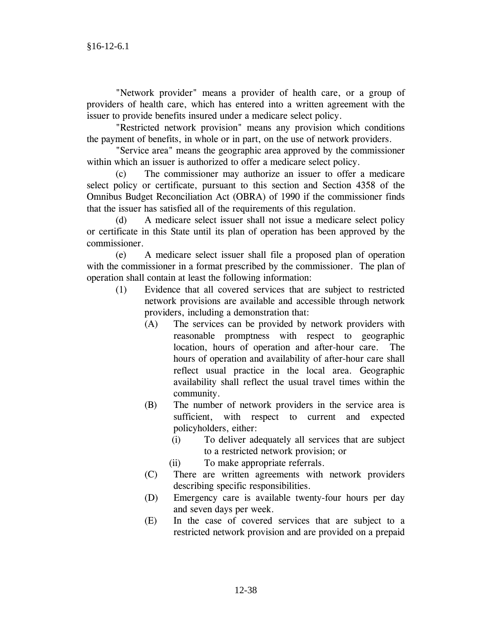"Network provider" means a provider of health care, or a group of providers of health care, which has entered into a written agreement with the issuer to provide benefits insured under a medicare select policy.

 "Restricted network provision" means any provision which conditions the payment of benefits, in whole or in part, on the use of network providers.

 "Service area" means the geographic area approved by the commissioner within which an issuer is authorized to offer a medicare select policy.

 (c) The commissioner may authorize an issuer to offer a medicare select policy or certificate, pursuant to this section and Section 4358 of the Omnibus Budget Reconciliation Act (OBRA) of 1990 if the commissioner finds that the issuer has satisfied all of the requirements of this regulation.

 (d) A medicare select issuer shall not issue a medicare select policy or certificate in this State until its plan of operation has been approved by the commissioner.

 (e) A medicare select issuer shall file a proposed plan of operation with the commissioner in a format prescribed by the commissioner. The plan of operation shall contain at least the following information:

- (1) Evidence that all covered services that are subject to restricted network provisions are available and accessible through network providers, including a demonstration that:
	- (A) The services can be provided by network providers with reasonable promptness with respect to geographic location, hours of operation and after-hour care. The hours of operation and availability of after-hour care shall reflect usual practice in the local area. Geographic availability shall reflect the usual travel times within the community.
	- (B) The number of network providers in the service area is sufficient, with respect to current and expected policyholders, either:
		- (i) To deliver adequately all services that are subject to a restricted network provision; or
		- (ii) To make appropriate referrals.
	- (C) There are written agreements with network providers describing specific responsibilities.
	- (D) Emergency care is available twenty-four hours per day and seven days per week.
	- (E) In the case of covered services that are subject to a restricted network provision and are provided on a prepaid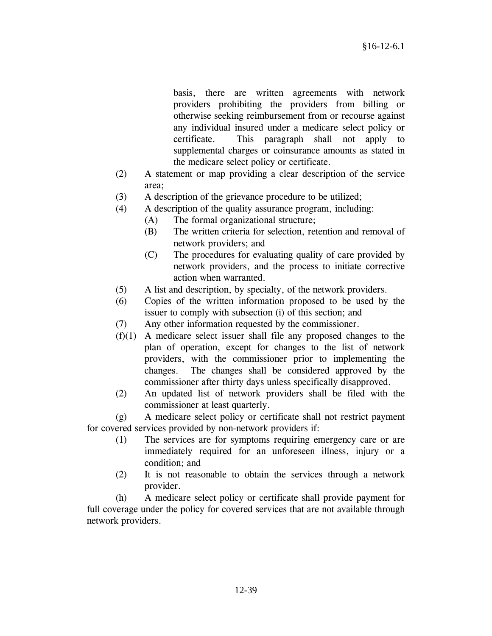basis, there are written agreements with network providers prohibiting the providers from billing or otherwise seeking reimbursement from or recourse against any individual insured under a medicare select policy or certificate. This paragraph shall not apply to supplemental charges or coinsurance amounts as stated in the medicare select policy or certificate.

- (2) A statement or map providing a clear description of the service area;
- (3) A description of the grievance procedure to be utilized;
- (4) A description of the quality assurance program, including:
	- (A) The formal organizational structure;
		- (B) The written criteria for selection, retention and removal of network providers; and
		- (C) The procedures for evaluating quality of care provided by network providers, and the process to initiate corrective action when warranted.
- (5) A list and description, by specialty, of the network providers.
- (6) Copies of the written information proposed to be used by the issuer to comply with subsection (i) of this section; and
- (7) Any other information requested by the commissioner.
- (f)(1) A medicare select issuer shall file any proposed changes to the plan of operation, except for changes to the list of network providers, with the commissioner prior to implementing the changes. The changes shall be considered approved by the commissioner after thirty days unless specifically disapproved.
- (2) An updated list of network providers shall be filed with the commissioner at least quarterly.

 (g) A medicare select policy or certificate shall not restrict payment for covered services provided by non-network providers if:

- (1) The services are for symptoms requiring emergency care or are immediately required for an unforeseen illness, injury or a condition; and
- (2) It is not reasonable to obtain the services through a network provider.

 (h) A medicare select policy or certificate shall provide payment for full coverage under the policy for covered services that are not available through network providers.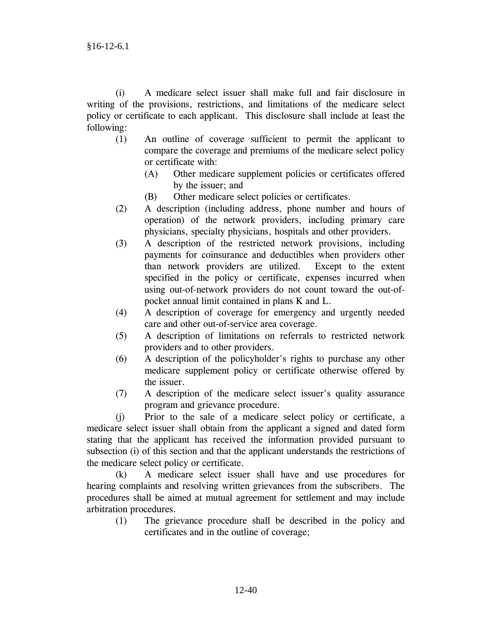(i) A medicare select issuer shall make full and fair disclosure in writing of the provisions, restrictions, and limitations of the medicare select policy or certificate to each applicant. This disclosure shall include at least the following:

- (1) An outline of coverage sufficient to permit the applicant to compare the coverage and premiums of the medicare select policy or certificate with:
	- (A) Other medicare supplement policies or certificates offered by the issuer; and
	- (B) Other medicare select policies or certificates.
- (2) A description (including address, phone number and hours of operation) of the network providers, including primary care physicians, specialty physicians, hospitals and other providers.
- (3) A description of the restricted network provisions, including payments for coinsurance and deductibles when providers other than network providers are utilized. Except to the extent specified in the policy or certificate, expenses incurred when using out-of-network providers do not count toward the out-ofpocket annual limit contained in plans K and L.
- (4) A description of coverage for emergency and urgently needed care and other out-of-service area coverage.
- (5) A description of limitations on referrals to restricted network providers and to other providers.
- (6) A description of the policyholder's rights to purchase any other medicare supplement policy or certificate otherwise offered by the issuer.
- (7) A description of the medicare select issuer's quality assurance program and grievance procedure.

 (j) Prior to the sale of a medicare select policy or certificate, a medicare select issuer shall obtain from the applicant a signed and dated form stating that the applicant has received the information provided pursuant to subsection (i) of this section and that the applicant understands the restrictions of the medicare select policy or certificate.

 (k) A medicare select issuer shall have and use procedures for hearing complaints and resolving written grievances from the subscribers. The procedures shall be aimed at mutual agreement for settlement and may include arbitration procedures.

 (1) The grievance procedure shall be described in the policy and certificates and in the outline of coverage;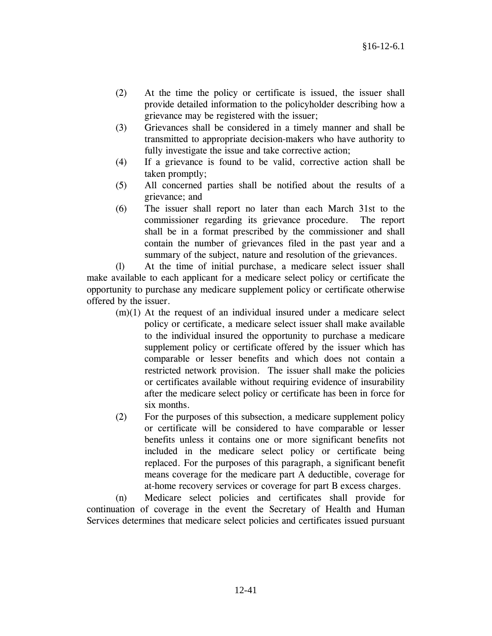- (2) At the time the policy or certificate is issued, the issuer shall provide detailed information to the policyholder describing how a grievance may be registered with the issuer;
- (3) Grievances shall be considered in a timely manner and shall be transmitted to appropriate decision-makers who have authority to fully investigate the issue and take corrective action;
- (4) If a grievance is found to be valid, corrective action shall be taken promptly;
- (5) All concerned parties shall be notified about the results of a grievance; and
- (6) The issuer shall report no later than each March 31st to the commissioner regarding its grievance procedure. The report shall be in a format prescribed by the commissioner and shall contain the number of grievances filed in the past year and a summary of the subject, nature and resolution of the grievances.

 (l) At the time of initial purchase, a medicare select issuer shall make available to each applicant for a medicare select policy or certificate the opportunity to purchase any medicare supplement policy or certificate otherwise offered by the issuer.

- $(m)(1)$  At the request of an individual insured under a medicare select policy or certificate, a medicare select issuer shall make available to the individual insured the opportunity to purchase a medicare supplement policy or certificate offered by the issuer which has comparable or lesser benefits and which does not contain a restricted network provision. The issuer shall make the policies or certificates available without requiring evidence of insurability after the medicare select policy or certificate has been in force for six months.
- (2) For the purposes of this subsection, a medicare supplement policy or certificate will be considered to have comparable or lesser benefits unless it contains one or more significant benefits not included in the medicare select policy or certificate being replaced. For the purposes of this paragraph, a significant benefit means coverage for the medicare part A deductible, coverage for at-home recovery services or coverage for part B excess charges.

 (n) Medicare select policies and certificates shall provide for continuation of coverage in the event the Secretary of Health and Human Services determines that medicare select policies and certificates issued pursuant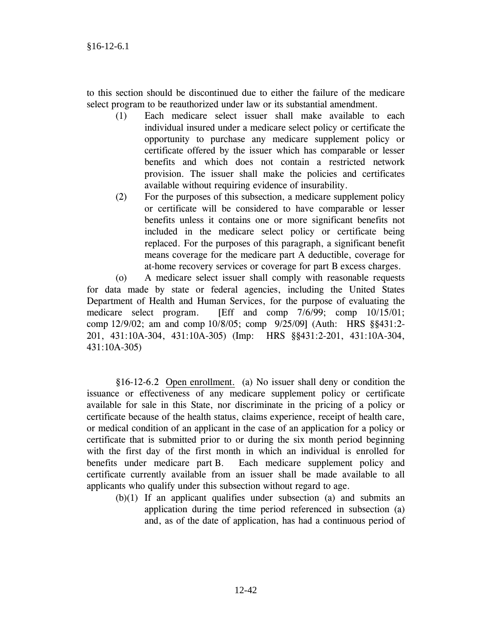to this section should be discontinued due to either the failure of the medicare select program to be reauthorized under law or its substantial amendment.

- (1) Each medicare select issuer shall make available to each individual insured under a medicare select policy or certificate the opportunity to purchase any medicare supplement policy or certificate offered by the issuer which has comparable or lesser benefits and which does not contain a restricted network provision. The issuer shall make the policies and certificates available without requiring evidence of insurability.
- (2) For the purposes of this subsection, a medicare supplement policy or certificate will be considered to have comparable or lesser benefits unless it contains one or more significant benefits not included in the medicare select policy or certificate being replaced. For the purposes of this paragraph, a significant benefit means coverage for the medicare part A deductible, coverage for at-home recovery services or coverage for part B excess charges.

 (o) A medicare select issuer shall comply with reasonable requests for data made by state or federal agencies, including the United States Department of Health and Human Services, for the purpose of evaluating the medicare select program. [Eff and comp 7/6/99; comp 10/15/01; comp 12/9/02; am and comp 10/8/05; comp 9/25/09] (Auth: HRS §§431:2- 201, 431:10A-304, 431:10A-305) (Imp: HRS §§431:2-201, 431:10A-304, 431:10A-305)

 §16-12-6.2 Open enrollment. (a) No issuer shall deny or condition the issuance or effectiveness of any medicare supplement policy or certificate available for sale in this State, nor discriminate in the pricing of a policy or certificate because of the health status, claims experience, receipt of health care, or medical condition of an applicant in the case of an application for a policy or certificate that is submitted prior to or during the six month period beginning with the first day of the first month in which an individual is enrolled for benefits under medicare part B. Each medicare supplement policy and certificate currently available from an issuer shall be made available to all applicants who qualify under this subsection without regard to age.

 (b)(1) If an applicant qualifies under subsection (a) and submits an application during the time period referenced in subsection (a) and, as of the date of application, has had a continuous period of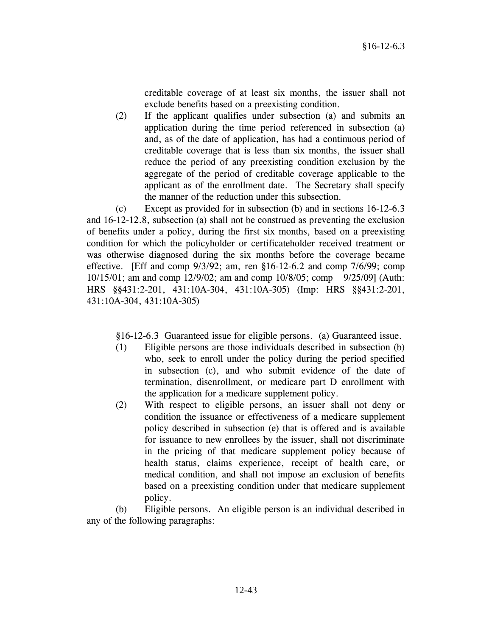creditable coverage of at least six months, the issuer shall not exclude benefits based on a preexisting condition.

 (2) If the applicant qualifies under subsection (a) and submits an application during the time period referenced in subsection (a) and, as of the date of application, has had a continuous period of creditable coverage that is less than six months, the issuer shall reduce the period of any preexisting condition exclusion by the aggregate of the period of creditable coverage applicable to the applicant as of the enrollment date. The Secretary shall specify the manner of the reduction under this subsection.

 (c) Except as provided for in subsection (b) and in sections 16-12-6.3 and 16-12-12.8, subsection (a) shall not be construed as preventing the exclusion of benefits under a policy, during the first six months, based on a preexisting condition for which the policyholder or certificateholder received treatment or was otherwise diagnosed during the six months before the coverage became effective. [Eff and comp  $9/3/92$ ; am, ren §16-12-6.2 and comp  $7/6/99$ ; comp 10/15/01; am and comp 12/9/02; am and comp 10/8/05; comp 9/25/09] (Auth: HRS §§431:2-201, 431:10A-304, 431:10A-305) (Imp: HRS §§431:2-201, 431:10A-304, 431:10A-305)

§16-12-6.3 Guaranteed issue for eligible persons. (a) Guaranteed issue.

- (1) Eligible persons are those individuals described in subsection (b) who, seek to enroll under the policy during the period specified in subsection (c), and who submit evidence of the date of termination, disenrollment, or medicare part D enrollment with the application for a medicare supplement policy.
- (2) With respect to eligible persons, an issuer shall not deny or condition the issuance or effectiveness of a medicare supplement policy described in subsection (e) that is offered and is available for issuance to new enrollees by the issuer, shall not discriminate in the pricing of that medicare supplement policy because of health status, claims experience, receipt of health care, or medical condition, and shall not impose an exclusion of benefits based on a preexisting condition under that medicare supplement policy.

 (b) Eligible persons. An eligible person is an individual described in any of the following paragraphs: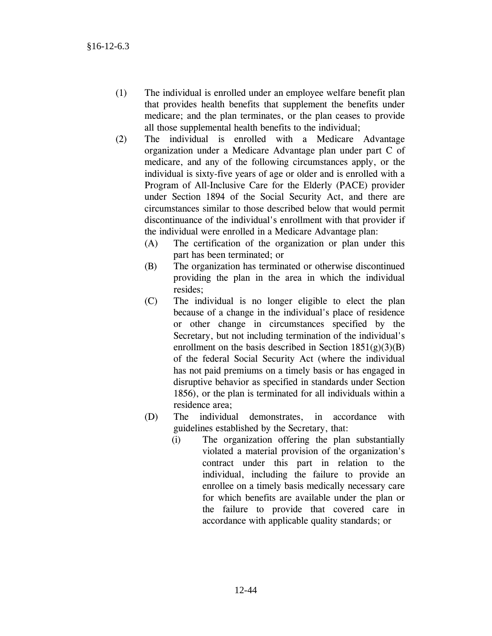- (1) The individual is enrolled under an employee welfare benefit plan that provides health benefits that supplement the benefits under medicare; and the plan terminates, or the plan ceases to provide all those supplemental health benefits to the individual;
- (2) The individual is enrolled with a Medicare Advantage organization under a Medicare Advantage plan under part C of medicare, and any of the following circumstances apply, or the individual is sixty-five years of age or older and is enrolled with a Program of All-Inclusive Care for the Elderly (PACE) provider under Section 1894 of the Social Security Act, and there are circumstances similar to those described below that would permit discontinuance of the individual's enrollment with that provider if the individual were enrolled in a Medicare Advantage plan:
	- (A) The certification of the organization or plan under this part has been terminated; or
	- (B) The organization has terminated or otherwise discontinued providing the plan in the area in which the individual resides;
	- (C) The individual is no longer eligible to elect the plan because of a change in the individual's place of residence or other change in circumstances specified by the Secretary, but not including termination of the individual's enrollment on the basis described in Section  $1851(g)(3)(B)$ of the federal Social Security Act (where the individual has not paid premiums on a timely basis or has engaged in disruptive behavior as specified in standards under Section 1856), or the plan is terminated for all individuals within a residence area;
	- (D) The individual demonstrates, in accordance with guidelines established by the Secretary, that:
		- (i) The organization offering the plan substantially violated a material provision of the organization's contract under this part in relation to the individual, including the failure to provide an enrollee on a timely basis medically necessary care for which benefits are available under the plan or the failure to provide that covered care in accordance with applicable quality standards; or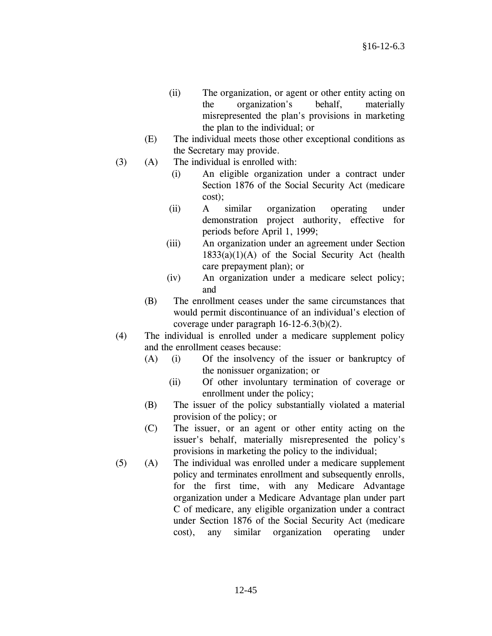- (ii) The organization, or agent or other entity acting on the organization's behalf, materially misrepresented the plan's provisions in marketing the plan to the individual; or
- (E) The individual meets those other exceptional conditions as the Secretary may provide.
- (3) (A) The individual is enrolled with:
	- (i) An eligible organization under a contract under Section 1876 of the Social Security Act (medicare cost);
	- (ii) A similar organization operating under demonstration project authority, effective for periods before April 1, 1999;
	- (iii) An organization under an agreement under Section  $1833(a)(1)(A)$  of the Social Security Act (health care prepayment plan); or
	- (iv) An organization under a medicare select policy; and
	- (B) The enrollment ceases under the same circumstances that would permit discontinuance of an individual's election of coverage under paragraph 16-12-6.3(b)(2).
- (4) The individual is enrolled under a medicare supplement policy and the enrollment ceases because:
	- (A) (i) Of the insolvency of the issuer or bankruptcy of the nonissuer organization; or
		- (ii) Of other involuntary termination of coverage or enrollment under the policy;
	- (B) The issuer of the policy substantially violated a material provision of the policy; or
	- (C) The issuer, or an agent or other entity acting on the issuer's behalf, materially misrepresented the policy's provisions in marketing the policy to the individual;
- (5) (A) The individual was enrolled under a medicare supplement policy and terminates enrollment and subsequently enrolls, for the first time, with any Medicare Advantage organization under a Medicare Advantage plan under part C of medicare, any eligible organization under a contract under Section 1876 of the Social Security Act (medicare cost), any similar organization operating under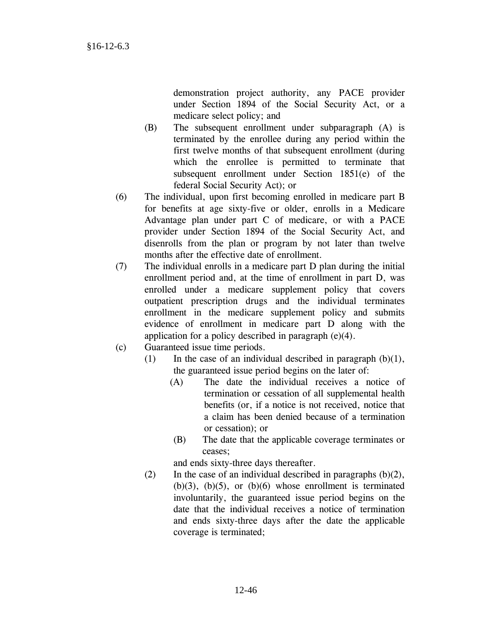demonstration project authority, any PACE provider under Section 1894 of the Social Security Act, or a medicare select policy; and

- (B) The subsequent enrollment under subparagraph (A) is terminated by the enrollee during any period within the first twelve months of that subsequent enrollment (during which the enrollee is permitted to terminate that subsequent enrollment under Section 1851(e) of the federal Social Security Act); or
- (6) The individual, upon first becoming enrolled in medicare part B for benefits at age sixty-five or older, enrolls in a Medicare Advantage plan under part C of medicare, or with a PACE provider under Section 1894 of the Social Security Act, and disenrolls from the plan or program by not later than twelve months after the effective date of enrollment.
- (7) The individual enrolls in a medicare part D plan during the initial enrollment period and, at the time of enrollment in part D, was enrolled under a medicare supplement policy that covers outpatient prescription drugs and the individual terminates enrollment in the medicare supplement policy and submits evidence of enrollment in medicare part D along with the application for a policy described in paragraph (e)(4).
- (c) Guaranteed issue time periods.
	- (1) In the case of an individual described in paragraph  $(b)(1)$ , the guaranteed issue period begins on the later of:
		- (A) The date the individual receives a notice of termination or cessation of all supplemental health benefits (or, if a notice is not received, notice that a claim has been denied because of a termination or cessation); or
		- (B) The date that the applicable coverage terminates or ceases;

and ends sixty-three days thereafter.

(2) In the case of an individual described in paragraphs  $(b)(2)$ ,  $(b)(3)$ ,  $(b)(5)$ , or  $(b)(6)$  whose enrollment is terminated involuntarily, the guaranteed issue period begins on the date that the individual receives a notice of termination and ends sixty-three days after the date the applicable coverage is terminated;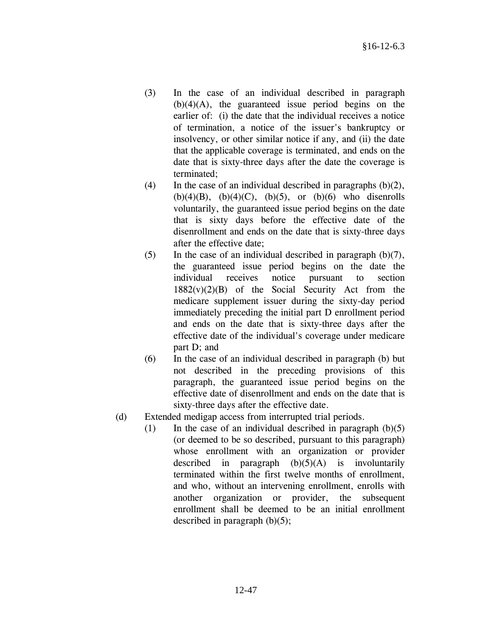- (3) In the case of an individual described in paragraph  $(b)(4)(A)$ , the guaranteed issue period begins on the earlier of: (i) the date that the individual receives a notice of termination, a notice of the issuer's bankruptcy or insolvency, or other similar notice if any, and (ii) the date that the applicable coverage is terminated, and ends on the date that is sixty-three days after the date the coverage is terminated;
- (4) In the case of an individual described in paragraphs  $(b)(2)$ , (b)(4)(B), (b)(4)(C), (b)(5), or (b)(6) who disenrolls voluntarily, the guaranteed issue period begins on the date that is sixty days before the effective date of the disenrollment and ends on the date that is sixty-three days after the effective date;
- (5) In the case of an individual described in paragraph  $(b)(7)$ , the guaranteed issue period begins on the date the individual receives notice pursuant to section  $1882(v)(2)(B)$  of the Social Security Act from the medicare supplement issuer during the sixty-day period immediately preceding the initial part D enrollment period and ends on the date that is sixty-three days after the effective date of the individual's coverage under medicare part D; and
- (6) In the case of an individual described in paragraph (b) but not described in the preceding provisions of this paragraph, the guaranteed issue period begins on the effective date of disenrollment and ends on the date that is sixty-three days after the effective date.
- (d) Extended medigap access from interrupted trial periods.
	- (1) In the case of an individual described in paragraph  $(b)(5)$ (or deemed to be so described, pursuant to this paragraph) whose enrollment with an organization or provider described in paragraph  $(b)(5)(A)$  is involuntarily terminated within the first twelve months of enrollment, and who, without an intervening enrollment, enrolls with another organization or provider, the subsequent enrollment shall be deemed to be an initial enrollment described in paragraph (b)(5);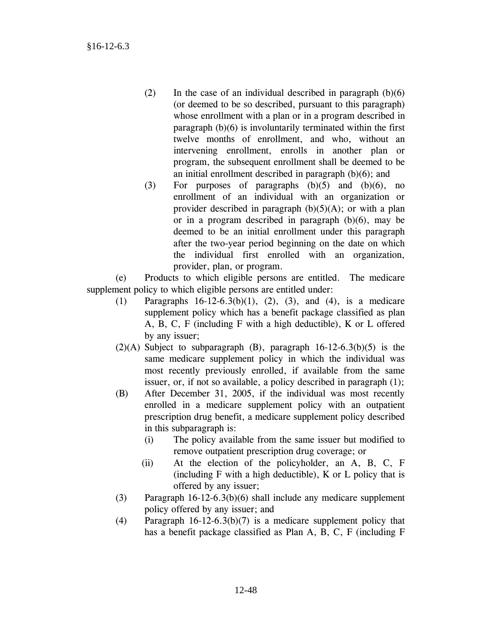- (2) In the case of an individual described in paragraph  $(b)(6)$ (or deemed to be so described, pursuant to this paragraph) whose enrollment with a plan or in a program described in paragraph (b)(6) is involuntarily terminated within the first twelve months of enrollment, and who, without an intervening enrollment, enrolls in another plan or program, the subsequent enrollment shall be deemed to be an initial enrollment described in paragraph (b)(6); and
- (3) For purposes of paragraphs  $(b)(5)$  and  $(b)(6)$ , no enrollment of an individual with an organization or provider described in paragraph  $(b)(5)(A)$ ; or with a plan or in a program described in paragraph (b)(6), may be deemed to be an initial enrollment under this paragraph after the two-year period beginning on the date on which the individual first enrolled with an organization, provider, plan, or program.

 (e) Products to which eligible persons are entitled. The medicare supplement policy to which eligible persons are entitled under:

- (1) Paragraphs 16-12-6.3(b)(1), (2), (3), and (4), is a medicare supplement policy which has a benefit package classified as plan A, B, C, F (including F with a high deductible), K or L offered by any issuer;
- $(2)(A)$  Subject to subparagraph  $(B)$ , paragraph  $16-12-6.3(b)(5)$  is the same medicare supplement policy in which the individual was most recently previously enrolled, if available from the same issuer, or, if not so available, a policy described in paragraph (1);
- (B) After December 31, 2005, if the individual was most recently enrolled in a medicare supplement policy with an outpatient prescription drug benefit, a medicare supplement policy described in this subparagraph is:
	- (i) The policy available from the same issuer but modified to remove outpatient prescription drug coverage; or
	- (ii) At the election of the policyholder, an A, B, C, F (including F with a high deductible), K or L policy that is offered by any issuer;
- (3) Paragraph 16-12-6.3(b)(6) shall include any medicare supplement policy offered by any issuer; and
- (4) Paragraph 16-12-6.3(b)(7) is a medicare supplement policy that has a benefit package classified as Plan A, B, C, F (including F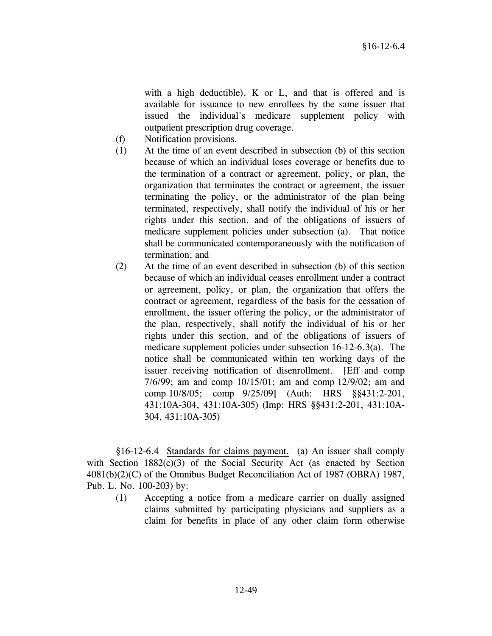with a high deductible), K or L, and that is offered and is available for issuance to new enrollees by the same issuer that issued the individual's medicare supplement policy with outpatient prescription drug coverage.

- (f) Notification provisions.
- (1) At the time of an event described in subsection (b) of this section because of which an individual loses coverage or benefits due to the termination of a contract or agreement, policy, or plan, the organization that terminates the contract or agreement, the issuer terminating the policy, or the administrator of the plan being terminated, respectively, shall notify the individual of his or her rights under this section, and of the obligations of issuers of medicare supplement policies under subsection (a). That notice shall be communicated contemporaneously with the notification of termination; and
- (2) At the time of an event described in subsection (b) of this section because of which an individual ceases enrollment under a contract or agreement, policy, or plan, the organization that offers the contract or agreement, regardless of the basis for the cessation of enrollment, the issuer offering the policy, or the administrator of the plan, respectively, shall notify the individual of his or her rights under this section, and of the obligations of issuers of medicare supplement policies under subsection 16-12-6.3(a). The notice shall be communicated within ten working days of the issuer receiving notification of disenrollment. [Eff and comp 7/6/99; am and comp 10/15/01; am and comp 12/9/02; am and comp 10/8/05; comp 9/25/09] (Auth: HRS §§431:2-201, 431:10A-304, 431:10A-305) (Imp: HRS §§431:2-201, 431:10A-304, 431:10A-305)

 §16-12-6.4 Standards for claims payment. (a) An issuer shall comply with Section 1882(c)(3) of the Social Security Act (as enacted by Section 4081(b)(2)(C) of the Omnibus Budget Reconciliation Act of 1987 (OBRA) 1987, Pub. L. No. 100-203) by:

 (1) Accepting a notice from a medicare carrier on dually assigned claims submitted by participating physicians and suppliers as a claim for benefits in place of any other claim form otherwise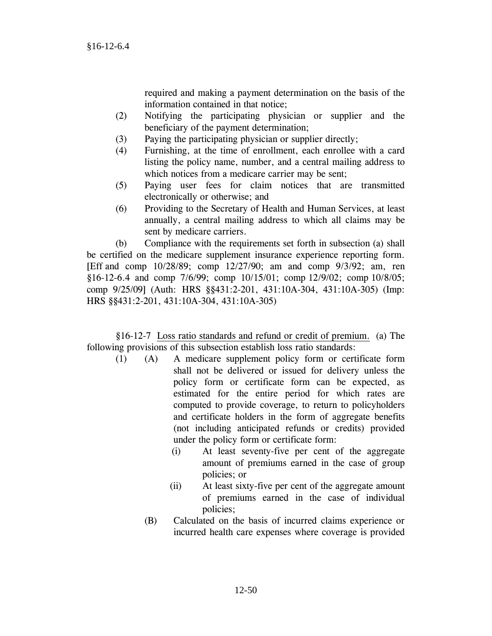required and making a payment determination on the basis of the information contained in that notice;

- (2) Notifying the participating physician or supplier and the beneficiary of the payment determination;
- (3) Paying the participating physician or supplier directly;
- (4) Furnishing, at the time of enrollment, each enrollee with a card listing the policy name, number, and a central mailing address to which notices from a medicare carrier may be sent:
- (5) Paying user fees for claim notices that are transmitted electronically or otherwise; and
- (6) Providing to the Secretary of Health and Human Services, at least annually, a central mailing address to which all claims may be sent by medicare carriers.

 (b) Compliance with the requirements set forth in subsection (a) shall be certified on the medicare supplement insurance experience reporting form. [Eff and comp 10/28/89; comp 12/27/90; am and comp 9/3/92; am, ren §16-12-6.4 and comp 7/6/99; comp 10/15/01; comp 12/9/02; comp 10/8/05; comp 9/25/09] (Auth: HRS §§431:2-201, 431:10A-304, 431:10A-305) (Imp: HRS §§431:2-201, 431:10A-304, 431:10A-305)

 §16-12-7 Loss ratio standards and refund or credit of premium. (a) The following provisions of this subsection establish loss ratio standards:

- (1) (A) A medicare supplement policy form or certificate form shall not be delivered or issued for delivery unless the policy form or certificate form can be expected, as estimated for the entire period for which rates are computed to provide coverage, to return to policyholders and certificate holders in the form of aggregate benefits (not including anticipated refunds or credits) provided under the policy form or certificate form:
	- (i) At least seventy-five per cent of the aggregate amount of premiums earned in the case of group policies; or
	- (ii) At least sixty-five per cent of the aggregate amount of premiums earned in the case of individual policies;
	- (B) Calculated on the basis of incurred claims experience or incurred health care expenses where coverage is provided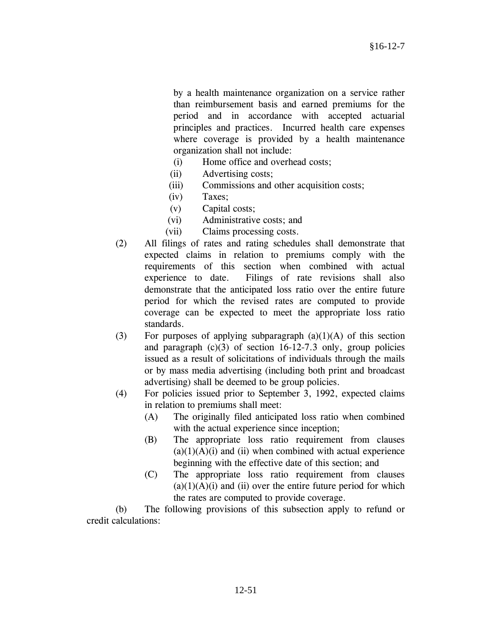by a health maintenance organization on a service rather than reimbursement basis and earned premiums for the period and in accordance with accepted actuarial principles and practices. Incurred health care expenses where coverage is provided by a health maintenance organization shall not include:

- (i) Home office and overhead costs;
- (ii) Advertising costs;
- (iii) Commissions and other acquisition costs;
- (iv) Taxes;
- (v) Capital costs;
- (vi) Administrative costs; and
- (vii) Claims processing costs.
- (2) All filings of rates and rating schedules shall demonstrate that expected claims in relation to premiums comply with the requirements of this section when combined with actual experience to date. Filings of rate revisions shall also demonstrate that the anticipated loss ratio over the entire future period for which the revised rates are computed to provide coverage can be expected to meet the appropriate loss ratio standards.
- (3) For purposes of applying subparagraph  $(a)(1)(A)$  of this section and paragraph  $(c)(3)$  of section 16-12-7.3 only, group policies issued as a result of solicitations of individuals through the mails or by mass media advertising (including both print and broadcast advertising) shall be deemed to be group policies.
- (4) For policies issued prior to September 3, 1992, expected claims in relation to premiums shall meet:
	- (A) The originally filed anticipated loss ratio when combined with the actual experience since inception;
	- (B) The appropriate loss ratio requirement from clauses  $(a)(1)(A)(i)$  and  $(ii)$  when combined with actual experience beginning with the effective date of this section; and
	- (C) The appropriate loss ratio requirement from clauses  $(a)(1)(A)(i)$  and (ii) over the entire future period for which the rates are computed to provide coverage.

 (b) The following provisions of this subsection apply to refund or credit calculations: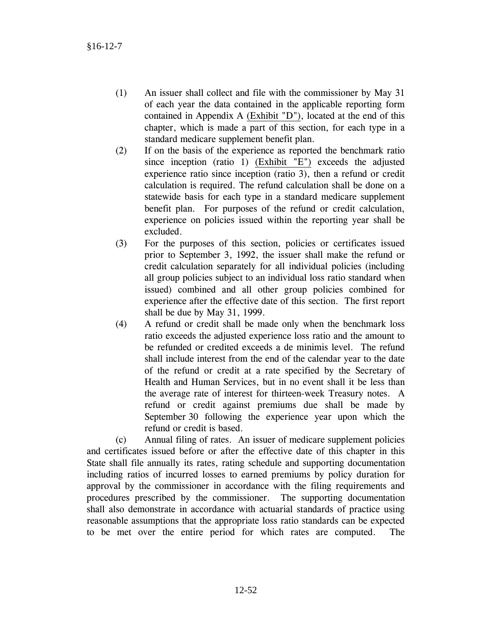- (1) An issuer shall collect and file with the commissioner by May 31 of each year the data contained in the applicable reporting form contained in Appendix A (Exhibit "D"), located at the end of this chapter, which is made a part of this section, for each type in a standard medicare supplement benefit plan.
- (2) If on the basis of the experience as reported the benchmark ratio since inception (ratio 1) (Exhibit "E") exceeds the adjusted experience ratio since inception (ratio 3), then a refund or credit calculation is required. The refund calculation shall be done on a statewide basis for each type in a standard medicare supplement benefit plan. For purposes of the refund or credit calculation, experience on policies issued within the reporting year shall be excluded.
- (3) For the purposes of this section, policies or certificates issued prior to September 3, 1992, the issuer shall make the refund or credit calculation separately for all individual policies (including all group policies subject to an individual loss ratio standard when issued) combined and all other group policies combined for experience after the effective date of this section. The first report shall be due by May 31, 1999.
- (4) A refund or credit shall be made only when the benchmark loss ratio exceeds the adjusted experience loss ratio and the amount to be refunded or credited exceeds a de minimis level. The refund shall include interest from the end of the calendar year to the date of the refund or credit at a rate specified by the Secretary of Health and Human Services, but in no event shall it be less than the average rate of interest for thirteen-week Treasury notes. A refund or credit against premiums due shall be made by September 30 following the experience year upon which the refund or credit is based.

 (c) Annual filing of rates. An issuer of medicare supplement policies and certificates issued before or after the effective date of this chapter in this State shall file annually its rates, rating schedule and supporting documentation including ratios of incurred losses to earned premiums by policy duration for approval by the commissioner in accordance with the filing requirements and procedures prescribed by the commissioner. The supporting documentation shall also demonstrate in accordance with actuarial standards of practice using reasonable assumptions that the appropriate loss ratio standards can be expected to be met over the entire period for which rates are computed. The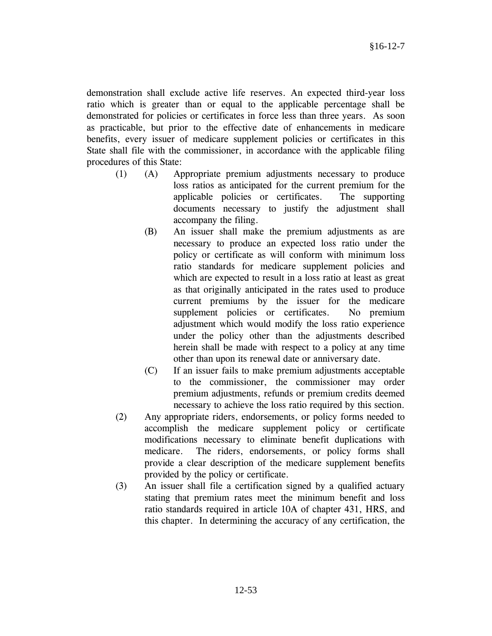demonstration shall exclude active life reserves. An expected third-year loss ratio which is greater than or equal to the applicable percentage shall be demonstrated for policies or certificates in force less than three years. As soon as practicable, but prior to the effective date of enhancements in medicare benefits, every issuer of medicare supplement policies or certificates in this State shall file with the commissioner, in accordance with the applicable filing procedures of this State:

- (1) (A) Appropriate premium adjustments necessary to produce loss ratios as anticipated for the current premium for the applicable policies or certificates. The supporting documents necessary to justify the adjustment shall accompany the filing.
	- (B) An issuer shall make the premium adjustments as are necessary to produce an expected loss ratio under the policy or certificate as will conform with minimum loss ratio standards for medicare supplement policies and which are expected to result in a loss ratio at least as great as that originally anticipated in the rates used to produce current premiums by the issuer for the medicare supplement policies or certificates. No premium adjustment which would modify the loss ratio experience under the policy other than the adjustments described herein shall be made with respect to a policy at any time other than upon its renewal date or anniversary date.
	- (C) If an issuer fails to make premium adjustments acceptable to the commissioner, the commissioner may order premium adjustments, refunds or premium credits deemed necessary to achieve the loss ratio required by this section.
- (2) Any appropriate riders, endorsements, or policy forms needed to accomplish the medicare supplement policy or certificate modifications necessary to eliminate benefit duplications with medicare. The riders, endorsements, or policy forms shall provide a clear description of the medicare supplement benefits provided by the policy or certificate.
- (3) An issuer shall file a certification signed by a qualified actuary stating that premium rates meet the minimum benefit and loss ratio standards required in article 10A of chapter 431, HRS, and this chapter. In determining the accuracy of any certification, the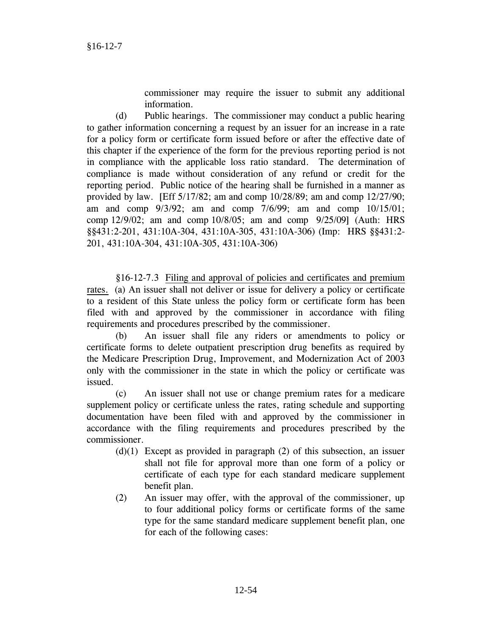commissioner may require the issuer to submit any additional information.

(d) Public hearings. The commissioner may conduct a public hearing to gather information concerning a request by an issuer for an increase in a rate for a policy form or certificate form issued before or after the effective date of this chapter if the experience of the form for the previous reporting period is not in compliance with the applicable loss ratio standard. The determination of compliance is made without consideration of any refund or credit for the reporting period. Public notice of the hearing shall be furnished in a manner as provided by law. [Eff  $5/17/82$ ; am and comp  $10/28/89$ ; am and comp  $12/27/90$ ; am and comp 9/3/92; am and comp 7/6/99; am and comp 10/15/01; comp 12/9/02; am and comp 10/8/05; am and comp 9/25/09] (Auth: HRS §§431:2-201, 431:10A-304, 431:10A-305, 431:10A-306) (Imp: HRS §§431:2- 201, 431:10A-304, 431:10A-305, 431:10A-306)

 §16-12-7.3 Filing and approval of policies and certificates and premium rates. (a) An issuer shall not deliver or issue for delivery a policy or certificate to a resident of this State unless the policy form or certificate form has been filed with and approved by the commissioner in accordance with filing requirements and procedures prescribed by the commissioner.

(b) An issuer shall file any riders or amendments to policy or certificate forms to delete outpatient prescription drug benefits as required by the Medicare Prescription Drug, Improvement, and Modernization Act of 2003 only with the commissioner in the state in which the policy or certificate was issued.

 (c) An issuer shall not use or change premium rates for a medicare supplement policy or certificate unless the rates, rating schedule and supporting documentation have been filed with and approved by the commissioner in accordance with the filing requirements and procedures prescribed by the commissioner.

- $(d)(1)$  Except as provided in paragraph  $(2)$  of this subsection, an issuer shall not file for approval more than one form of a policy or certificate of each type for each standard medicare supplement benefit plan.
- (2) An issuer may offer, with the approval of the commissioner, up to four additional policy forms or certificate forms of the same type for the same standard medicare supplement benefit plan, one for each of the following cases: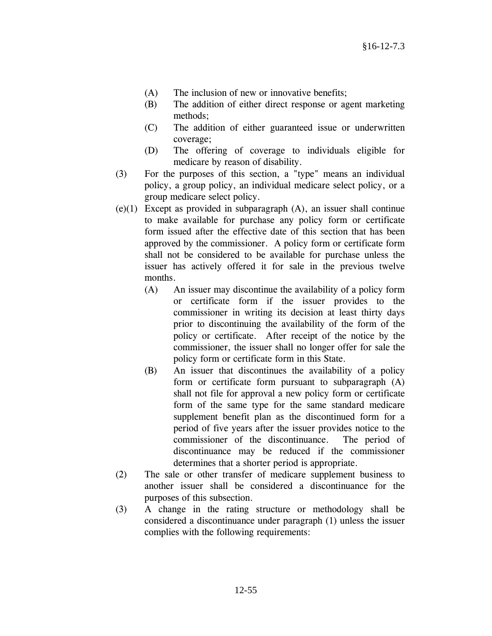- (A) The inclusion of new or innovative benefits;
- (B) The addition of either direct response or agent marketing methods;
- (C) The addition of either guaranteed issue or underwritten coverage;
- (D) The offering of coverage to individuals eligible for medicare by reason of disability.
- (3) For the purposes of this section, a "type" means an individual policy, a group policy, an individual medicare select policy, or a group medicare select policy.
- (e)(1) Except as provided in subparagraph (A), an issuer shall continue to make available for purchase any policy form or certificate form issued after the effective date of this section that has been approved by the commissioner. A policy form or certificate form shall not be considered to be available for purchase unless the issuer has actively offered it for sale in the previous twelve months.
	- (A) An issuer may discontinue the availability of a policy form or certificate form if the issuer provides to the commissioner in writing its decision at least thirty days prior to discontinuing the availability of the form of the policy or certificate. After receipt of the notice by the commissioner, the issuer shall no longer offer for sale the policy form or certificate form in this State.
	- (B) An issuer that discontinues the availability of a policy form or certificate form pursuant to subparagraph (A) shall not file for approval a new policy form or certificate form of the same type for the same standard medicare supplement benefit plan as the discontinued form for a period of five years after the issuer provides notice to the commissioner of the discontinuance. The period of discontinuance may be reduced if the commissioner determines that a shorter period is appropriate.
- (2) The sale or other transfer of medicare supplement business to another issuer shall be considered a discontinuance for the purposes of this subsection.
- (3) A change in the rating structure or methodology shall be considered a discontinuance under paragraph (1) unless the issuer complies with the following requirements: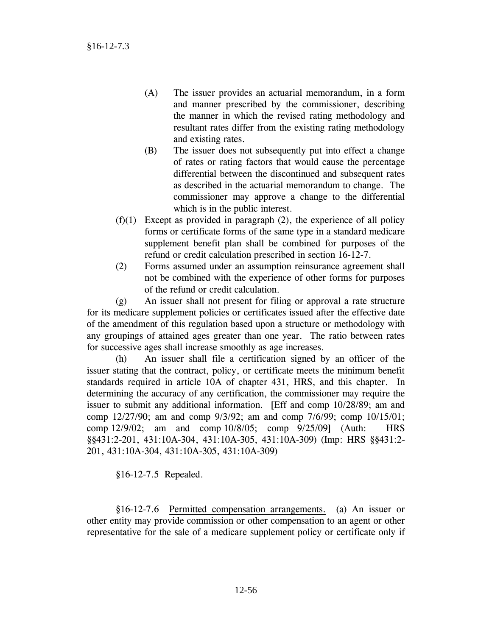- (A) The issuer provides an actuarial memorandum, in a form and manner prescribed by the commissioner, describing the manner in which the revised rating methodology and resultant rates differ from the existing rating methodology and existing rates.
- (B) The issuer does not subsequently put into effect a change of rates or rating factors that would cause the percentage differential between the discontinued and subsequent rates as described in the actuarial memorandum to change. The commissioner may approve a change to the differential which is in the public interest.
- $(f)(1)$  Except as provided in paragraph  $(2)$ , the experience of all policy forms or certificate forms of the same type in a standard medicare supplement benefit plan shall be combined for purposes of the refund or credit calculation prescribed in section 16-12-7.
- (2) Forms assumed under an assumption reinsurance agreement shall not be combined with the experience of other forms for purposes of the refund or credit calculation.

 (g) An issuer shall not present for filing or approval a rate structure for its medicare supplement policies or certificates issued after the effective date of the amendment of this regulation based upon a structure or methodology with any groupings of attained ages greater than one year. The ratio between rates for successive ages shall increase smoothly as age increases.

 (h) An issuer shall file a certification signed by an officer of the issuer stating that the contract, policy, or certificate meets the minimum benefit standards required in article 10A of chapter 431, HRS, and this chapter. In determining the accuracy of any certification, the commissioner may require the issuer to submit any additional information. [Eff and comp 10/28/89; am and comp 12/27/90; am and comp 9/3/92; am and comp 7/6/99; comp 10/15/01; comp 12/9/02; am and comp 10/8/05; comp 9/25/09] (Auth: HRS §§431:2-201, 431:10A-304, 431:10A-305, 431:10A-309) (Imp: HRS §§431:2- 201, 431:10A-304, 431:10A-305, 431:10A-309)

§16-12-7.5 Repealed.

 §16-12-7.6 Permitted compensation arrangements. (a) An issuer or other entity may provide commission or other compensation to an agent or other representative for the sale of a medicare supplement policy or certificate only if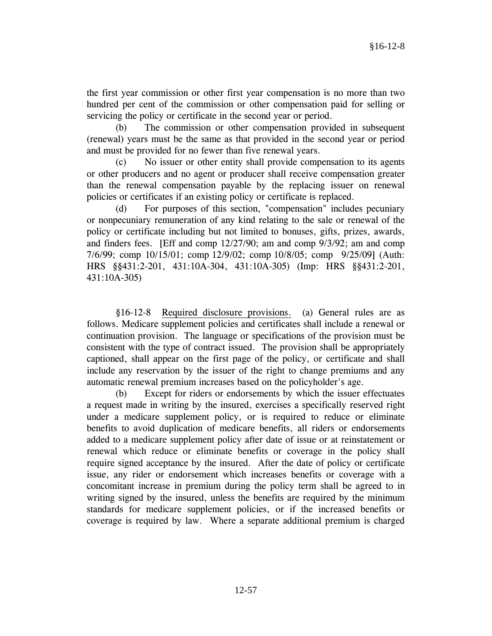the first year commission or other first year compensation is no more than two hundred per cent of the commission or other compensation paid for selling or servicing the policy or certificate in the second year or period.

 (b) The commission or other compensation provided in subsequent (renewal) years must be the same as that provided in the second year or period and must be provided for no fewer than five renewal years.

 (c) No issuer or other entity shall provide compensation to its agents or other producers and no agent or producer shall receive compensation greater than the renewal compensation payable by the replacing issuer on renewal policies or certificates if an existing policy or certificate is replaced.

 (d) For purposes of this section, "compensation" includes pecuniary or nonpecuniary remuneration of any kind relating to the sale or renewal of the policy or certificate including but not limited to bonuses, gifts, prizes, awards, and finders fees. [Eff and comp 12/27/90; am and comp 9/3/92; am and comp 7/6/99; comp 10/15/01; comp 12/9/02; comp 10/8/05; comp 9/25/09] (Auth: HRS §§431:2-201, 431:10A-304, 431:10A-305) (Imp: HRS §§431:2-201, 431:10A-305)

 §16-12-8 Required disclosure provisions. (a) General rules are as follows. Medicare supplement policies and certificates shall include a renewal or continuation provision. The language or specifications of the provision must be consistent with the type of contract issued. The provision shall be appropriately captioned, shall appear on the first page of the policy, or certificate and shall include any reservation by the issuer of the right to change premiums and any automatic renewal premium increases based on the policyholder's age.

 (b) Except for riders or endorsements by which the issuer effectuates a request made in writing by the insured, exercises a specifically reserved right under a medicare supplement policy, or is required to reduce or eliminate benefits to avoid duplication of medicare benefits, all riders or endorsements added to a medicare supplement policy after date of issue or at reinstatement or renewal which reduce or eliminate benefits or coverage in the policy shall require signed acceptance by the insured. After the date of policy or certificate issue, any rider or endorsement which increases benefits or coverage with a concomitant increase in premium during the policy term shall be agreed to in writing signed by the insured, unless the benefits are required by the minimum standards for medicare supplement policies, or if the increased benefits or coverage is required by law. Where a separate additional premium is charged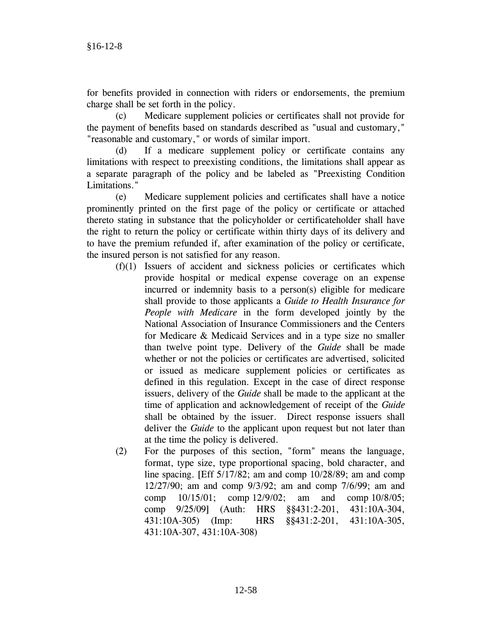for benefits provided in connection with riders or endorsements, the premium charge shall be set forth in the policy.

 (c) Medicare supplement policies or certificates shall not provide for the payment of benefits based on standards described as "usual and customary," "reasonable and customary," or words of similar import.

 (d) If a medicare supplement policy or certificate contains any limitations with respect to preexisting conditions, the limitations shall appear as a separate paragraph of the policy and be labeled as "Preexisting Condition Limitations."

 (e) Medicare supplement policies and certificates shall have a notice prominently printed on the first page of the policy or certificate or attached thereto stating in substance that the policyholder or certificateholder shall have the right to return the policy or certificate within thirty days of its delivery and to have the premium refunded if, after examination of the policy or certificate, the insured person is not satisfied for any reason.

- (f)(1) Issuers of accident and sickness policies or certificates which provide hospital or medical expense coverage on an expense incurred or indemnity basis to a person(s) eligible for medicare shall provide to those applicants a *Guide to Health Insurance for People with Medicare* in the form developed jointly by the National Association of Insurance Commissioners and the Centers for Medicare & Medicaid Services and in a type size no smaller than twelve point type. Delivery of the *Guide* shall be made whether or not the policies or certificates are advertised, solicited or issued as medicare supplement policies or certificates as defined in this regulation. Except in the case of direct response issuers, delivery of the *Guide* shall be made to the applicant at the time of application and acknowledgement of receipt of the *Guide* shall be obtained by the issuer. Direct response issuers shall deliver the *Guide* to the applicant upon request but not later than at the time the policy is delivered.
- (2) For the purposes of this section, "form" means the language, format, type size, type proportional spacing, bold character, and line spacing. [Eff 5/17/82; am and comp 10/28/89; am and comp 12/27/90; am and comp 9/3/92; am and comp 7/6/99; am and comp 10/15/01; comp 12/9/02; am and comp 10/8/05; comp 9/25/09] (Auth: HRS §§431:2-201, 431:10A-304, 431:10A-305) (Imp: HRS §§431:2-201, 431:10A-305, 431:10A-307, 431:10A-308)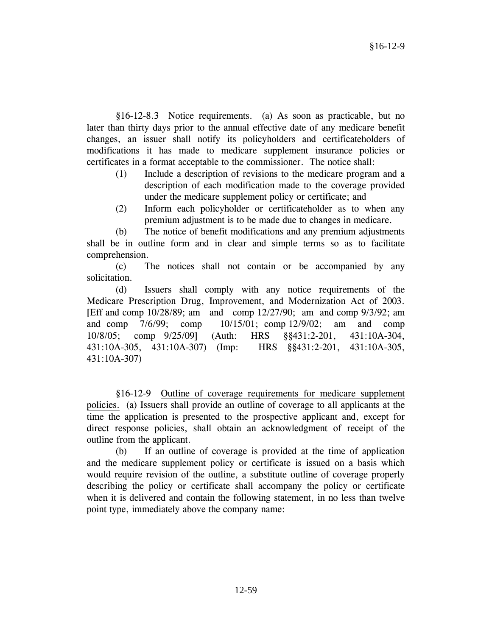§16-12-8.3 Notice requirements. (a) As soon as practicable, but no later than thirty days prior to the annual effective date of any medicare benefit changes, an issuer shall notify its policyholders and certificateholders of modifications it has made to medicare supplement insurance policies or certificates in a format acceptable to the commissioner. The notice shall:

- (1) Include a description of revisions to the medicare program and a description of each modification made to the coverage provided under the medicare supplement policy or certificate; and
- (2) Inform each policyholder or certificateholder as to when any premium adjustment is to be made due to changes in medicare.

 (b) The notice of benefit modifications and any premium adjustments shall be in outline form and in clear and simple terms so as to facilitate comprehension.

 (c) The notices shall not contain or be accompanied by any solicitation.

(d) Issuers shall comply with any notice requirements of the Medicare Prescription Drug, Improvement, and Modernization Act of 2003. [Eff and comp 10/28/89; am and comp 12/27/90; am and comp 9/3/92; am and comp 7/6/99; comp 10/15/01; comp 12/9/02; am and comp 10/8/05; comp 9/25/09] (Auth: HRS §§431:2-201, 431:10A-304, 431:10A-305, 431:10A-307) (Imp: HRS §§431:2-201, 431:10A-305, 431:10A-307)

 §16-12-9 Outline of coverage requirements for medicare supplement policies. (a) Issuers shall provide an outline of coverage to all applicants at the time the application is presented to the prospective applicant and, except for direct response policies, shall obtain an acknowledgment of receipt of the outline from the applicant.

 (b) If an outline of coverage is provided at the time of application and the medicare supplement policy or certificate is issued on a basis which would require revision of the outline, a substitute outline of coverage properly describing the policy or certificate shall accompany the policy or certificate when it is delivered and contain the following statement, in no less than twelve point type, immediately above the company name: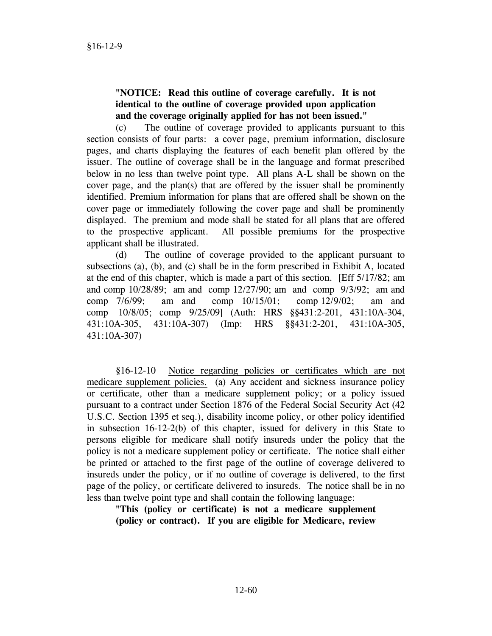# **"NOTICE: Read this outline of coverage carefully. It is not identical to the outline of coverage provided upon application and the coverage originally applied for has not been issued."**

 (c) The outline of coverage provided to applicants pursuant to this section consists of four parts: a cover page, premium information, disclosure pages, and charts displaying the features of each benefit plan offered by the issuer. The outline of coverage shall be in the language and format prescribed below in no less than twelve point type. All plans A-L shall be shown on the cover page, and the plan(s) that are offered by the issuer shall be prominently identified. Premium information for plans that are offered shall be shown on the cover page or immediately following the cover page and shall be prominently displayed. The premium and mode shall be stated for all plans that are offered to the prospective applicant. All possible premiums for the prospective applicant shall be illustrated.

 (d) The outline of coverage provided to the applicant pursuant to subsections (a), (b), and (c) shall be in the form prescribed in Exhibit A, located at the end of this chapter, which is made a part of this section. [Eff 5/17/82; am and comp 10/28/89; am and comp 12/27/90; am and comp 9/3/92; am and comp 7/6/99; am and comp 10/15/01; comp 12/9/02; am and comp 10/8/05; comp 9/25/09] (Auth: HRS §§431:2-201, 431:10A-304, 431:10A-305, 431:10A-307) (Imp: HRS §§431:2-201, 431:10A-305, 431:10A-307)

 §16-12-10 Notice regarding policies or certificates which are not medicare supplement policies. (a) Any accident and sickness insurance policy or certificate, other than a medicare supplement policy; or a policy issued pursuant to a contract under Section 1876 of the Federal Social Security Act (42 U.S.C. Section 1395 et seq.), disability income policy, or other policy identified in subsection 16-12-2(b) of this chapter, issued for delivery in this State to persons eligible for medicare shall notify insureds under the policy that the policy is not a medicare supplement policy or certificate. The notice shall either be printed or attached to the first page of the outline of coverage delivered to insureds under the policy, or if no outline of coverage is delivered, to the first page of the policy, or certificate delivered to insureds. The notice shall be in no less than twelve point type and shall contain the following language:

**"This (policy or certificate) is not a medicare supplement (policy or contract). If you are eligible for Medicare, review**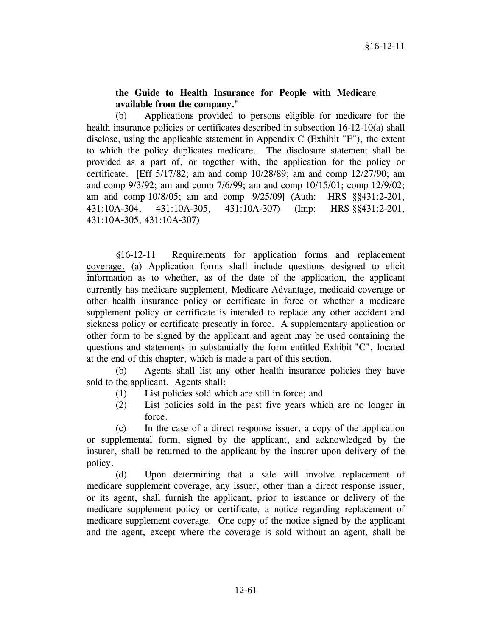## **the Guide to Health Insurance for People with Medicare available from the company."**

 (b) Applications provided to persons eligible for medicare for the health insurance policies or certificates described in subsection 16-12-10(a) shall disclose, using the applicable statement in Appendix C (Exhibit "F"), the extent to which the policy duplicates medicare. The disclosure statement shall be provided as a part of, or together with, the application for the policy or certificate. [Eff 5/17/82; am and comp 10/28/89; am and comp 12/27/90; am and comp 9/3/92; am and comp 7/6/99; am and comp 10/15/01; comp 12/9/02; am and comp 10/8/05; am and comp 9/25/09] (Auth: HRS §§431:2-201, 431:10A-304, 431:10A-305, 431:10A-307) (Imp: HRS §§431:2-201, 431:10A-305, 431:10A-307)

 §16-12-11 Requirements for application forms and replacement coverage. (a) Application forms shall include questions designed to elicit information as to whether, as of the date of the application, the applicant currently has medicare supplement, Medicare Advantage, medicaid coverage or other health insurance policy or certificate in force or whether a medicare supplement policy or certificate is intended to replace any other accident and sickness policy or certificate presently in force. A supplementary application or other form to be signed by the applicant and agent may be used containing the questions and statements in substantially the form entitled Exhibit "C", located at the end of this chapter, which is made a part of this section.

 (b) Agents shall list any other health insurance policies they have sold to the applicant. Agents shall:

- (1) List policies sold which are still in force; and
- (2) List policies sold in the past five years which are no longer in force.

 (c) In the case of a direct response issuer, a copy of the application or supplemental form, signed by the applicant, and acknowledged by the insurer, shall be returned to the applicant by the insurer upon delivery of the policy.

 (d) Upon determining that a sale will involve replacement of medicare supplement coverage, any issuer, other than a direct response issuer, or its agent, shall furnish the applicant, prior to issuance or delivery of the medicare supplement policy or certificate, a notice regarding replacement of medicare supplement coverage. One copy of the notice signed by the applicant and the agent, except where the coverage is sold without an agent, shall be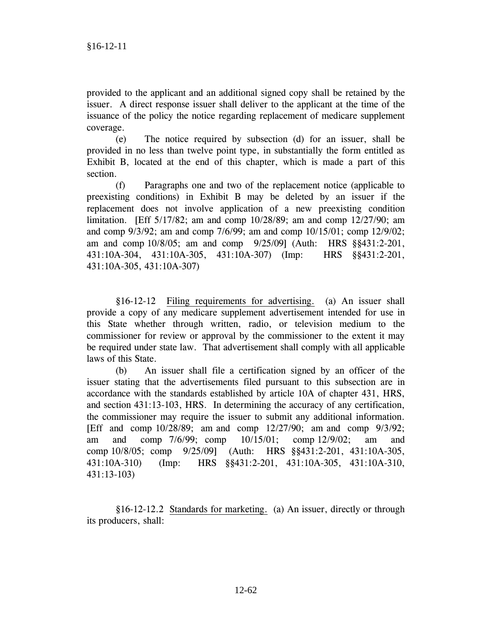provided to the applicant and an additional signed copy shall be retained by the issuer. A direct response issuer shall deliver to the applicant at the time of the issuance of the policy the notice regarding replacement of medicare supplement coverage.

 (e) The notice required by subsection (d) for an issuer, shall be provided in no less than twelve point type, in substantially the form entitled as Exhibit B, located at the end of this chapter, which is made a part of this section.

 (f) Paragraphs one and two of the replacement notice (applicable to preexisting conditions) in Exhibit B may be deleted by an issuer if the replacement does not involve application of a new preexisting condition limitation. [Eff 5/17/82; am and comp 10/28/89; am and comp 12/27/90; am and comp 9/3/92; am and comp 7/6/99; am and comp 10/15/01; comp 12/9/02; am and comp 10/8/05; am and comp 9/25/09] (Auth: HRS §§431:2-201, 431:10A-304, 431:10A-305, 431:10A-307) (Imp: HRS §§431:2-201, 431:10A-305, 431:10A-307)

 §16-12-12 Filing requirements for advertising. (a) An issuer shall provide a copy of any medicare supplement advertisement intended for use in this State whether through written, radio, or television medium to the commissioner for review or approval by the commissioner to the extent it may be required under state law. That advertisement shall comply with all applicable laws of this State.

 (b) An issuer shall file a certification signed by an officer of the issuer stating that the advertisements filed pursuant to this subsection are in accordance with the standards established by article 10A of chapter 431, HRS, and section 431:13-103, HRS. In determining the accuracy of any certification, the commissioner may require the issuer to submit any additional information. [Eff and comp 10/28/89; am and comp 12/27/90; am and comp 9/3/92; am and comp 7/6/99; comp 10/15/01; comp 12/9/02; am and comp 10/8/05; comp 9/25/09] (Auth: HRS §§431:2-201, 431:10A-305, 431:10A-310) (Imp: HRS §§431:2-201, 431:10A-305, 431:10A-310, 431:13-103)

 §16-12-12.2 Standards for marketing. (a) An issuer, directly or through its producers, shall: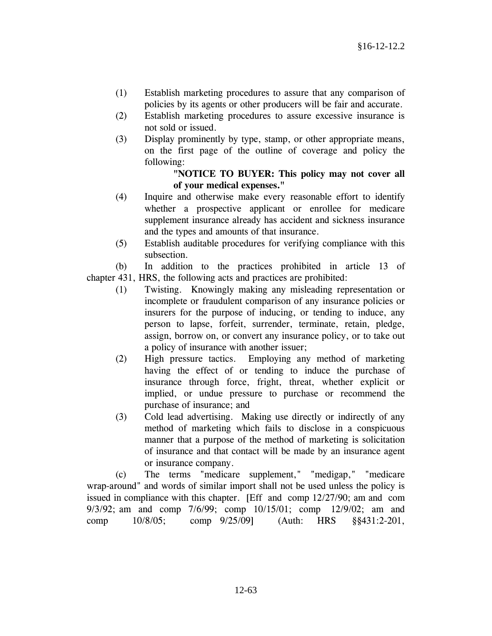- (1) Establish marketing procedures to assure that any comparison of policies by its agents or other producers will be fair and accurate.
- (2) Establish marketing procedures to assure excessive insurance is not sold or issued.
- (3) Display prominently by type, stamp, or other appropriate means, on the first page of the outline of coverage and policy the following:

## **"NOTICE TO BUYER: This policy may not cover all of your medical expenses."**

- (4) Inquire and otherwise make every reasonable effort to identify whether a prospective applicant or enrollee for medicare supplement insurance already has accident and sickness insurance and the types and amounts of that insurance.
- (5) Establish auditable procedures for verifying compliance with this subsection.

 (b) In addition to the practices prohibited in article 13 of chapter 431, HRS, the following acts and practices are prohibited:

- (1) Twisting. Knowingly making any misleading representation or incomplete or fraudulent comparison of any insurance policies or insurers for the purpose of inducing, or tending to induce, any person to lapse, forfeit, surrender, terminate, retain, pledge, assign, borrow on, or convert any insurance policy, or to take out a policy of insurance with another issuer;
- (2) High pressure tactics. Employing any method of marketing having the effect of or tending to induce the purchase of insurance through force, fright, threat, whether explicit or implied, or undue pressure to purchase or recommend the purchase of insurance; and
- (3) Cold lead advertising. Making use directly or indirectly of any method of marketing which fails to disclose in a conspicuous manner that a purpose of the method of marketing is solicitation of insurance and that contact will be made by an insurance agent or insurance company.

(c) The terms "medicare supplement," "medigap," "medicare wrap-around" and words of similar import shall not be used unless the policy is issued in compliance with this chapter. [Eff and comp 12/27/90; am and com 9/3/92; am and comp 7/6/99; comp 10/15/01; comp 12/9/02; am and comp 10/8/05; comp 9/25/09] (Auth: HRS §§431:2-201,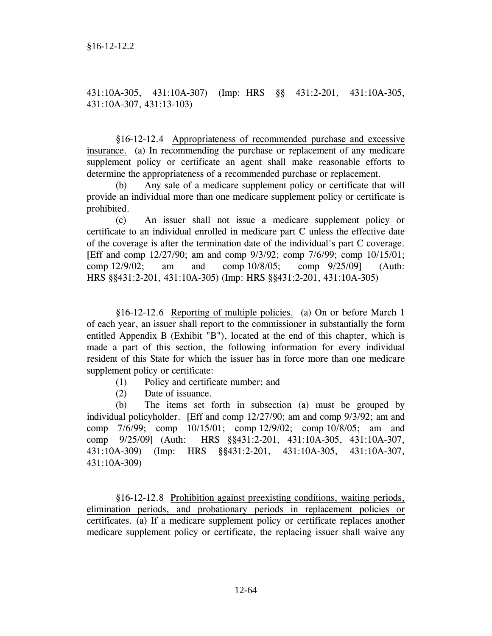431:10A-305, 431:10A-307) (Imp: HRS §§ 431:2-201, 431:10A-305, 431:10A-307, 431:13-103)

 §16-12-12.4 Appropriateness of recommended purchase and excessive insurance. (a) In recommending the purchase or replacement of any medicare supplement policy or certificate an agent shall make reasonable efforts to determine the appropriateness of a recommended purchase or replacement.

(b) Any sale of a medicare supplement policy or certificate that will provide an individual more than one medicare supplement policy or certificate is prohibited.

(c) An issuer shall not issue a medicare supplement policy or certificate to an individual enrolled in medicare part C unless the effective date of the coverage is after the termination date of the individual's part C coverage. [Eff and comp 12/27/90; am and comp 9/3/92; comp 7/6/99; comp 10/15/01; comp 12/9/02; am and comp 10/8/05; comp 9/25/09] (Auth: HRS §§431:2-201, 431:10A-305) (Imp: HRS §§431:2-201, 431:10A-305)

 §16-12-12.6 Reporting of multiple policies. (a) On or before March 1 of each year, an issuer shall report to the commissioner in substantially the form entitled Appendix B (Exhibit "B"), located at the end of this chapter, which is made a part of this section, the following information for every individual resident of this State for which the issuer has in force more than one medicare supplement policy or certificate:

- (1) Policy and certificate number; and
- (2) Date of issuance.

 (b) The items set forth in subsection (a) must be grouped by individual policyholder. [Eff and comp 12/27/90; am and comp 9/3/92; am and comp 7/6/99; comp 10/15/01; comp 12/9/02; comp 10/8/05; am and comp 9/25/09] (Auth: HRS §§431:2-201, 431:10A-305, 431:10A-307, 431:10A-309) (Imp: HRS §§431:2-201, 431:10A-305, 431:10A-307, 431:10A-309)

 §16-12-12.8 Prohibition against preexisting conditions, waiting periods, elimination periods, and probationary periods in replacement policies or certificates. (a) If a medicare supplement policy or certificate replaces another medicare supplement policy or certificate, the replacing issuer shall waive any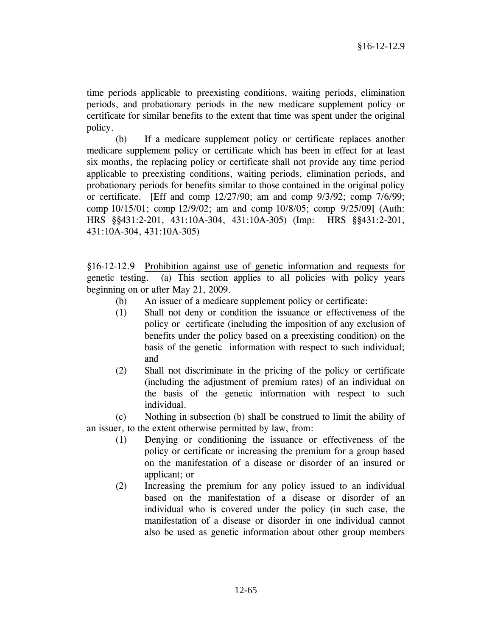time periods applicable to preexisting conditions, waiting periods, elimination periods, and probationary periods in the new medicare supplement policy or certificate for similar benefits to the extent that time was spent under the original policy.

 (b) If a medicare supplement policy or certificate replaces another medicare supplement policy or certificate which has been in effect for at least six months, the replacing policy or certificate shall not provide any time period applicable to preexisting conditions, waiting periods, elimination periods, and probationary periods for benefits similar to those contained in the original policy or certificate. [Eff and comp  $12/27/90$ ; am and comp  $9/3/92$ ; comp  $7/6/99$ ; comp 10/15/01; comp 12/9/02; am and comp 10/8/05; comp 9/25/09] (Auth: HRS §§431:2-201, 431:10A-304, 431:10A-305) (Imp: HRS §§431:2-201, 431:10A-304, 431:10A-305)

§16-12-12.9 Prohibition against use of genetic information and requests for genetic testing. (a) This section applies to all policies with policy years beginning on or after May 21, 2009.

- (b) An issuer of a medicare supplement policy or certificate:
- (1) Shall not deny or condition the issuance or effectiveness of the policy or certificate (including the imposition of any exclusion of benefits under the policy based on a preexisting condition) on the basis of the genetic information with respect to such individual; and
- (2) Shall not discriminate in the pricing of the policy or certificate (including the adjustment of premium rates) of an individual on the basis of the genetic information with respect to such individual.

 (c) Nothing in subsection (b) shall be construed to limit the ability of an issuer, to the extent otherwise permitted by law, from:

- (1) Denying or conditioning the issuance or effectiveness of the policy or certificate or increasing the premium for a group based on the manifestation of a disease or disorder of an insured or applicant; or
- (2) Increasing the premium for any policy issued to an individual based on the manifestation of a disease or disorder of an individual who is covered under the policy (in such case, the manifestation of a disease or disorder in one individual cannot also be used as genetic information about other group members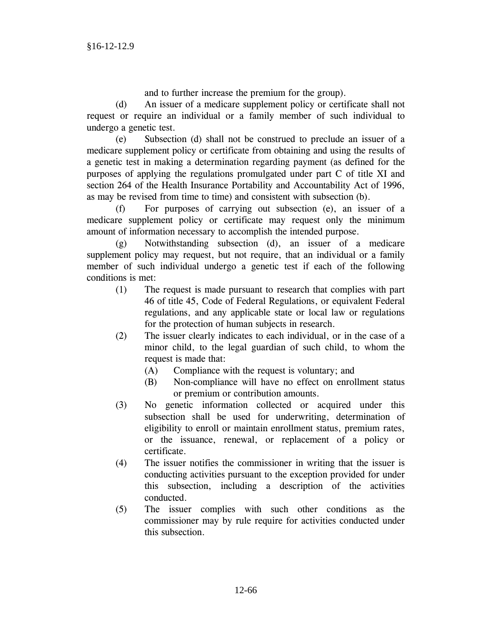and to further increase the premium for the group).

(d) An issuer of a medicare supplement policy or certificate shall not request or require an individual or a family member of such individual to undergo a genetic test.

(e) Subsection (d) shall not be construed to preclude an issuer of a medicare supplement policy or certificate from obtaining and using the results of a genetic test in making a determination regarding payment (as defined for the purposes of applying the regulations promulgated under part C of title XI and section 264 of the Health Insurance Portability and Accountability Act of 1996, as may be revised from time to time) and consistent with subsection (b).

(f) For purposes of carrying out subsection (e), an issuer of a medicare supplement policy or certificate may request only the minimum amount of information necessary to accomplish the intended purpose.

(g) Notwithstanding subsection (d), an issuer of a medicare supplement policy may request, but not require, that an individual or a family member of such individual undergo a genetic test if each of the following conditions is met:

- (1) The request is made pursuant to research that complies with part 46 of title 45, Code of Federal Regulations, or equivalent Federal regulations, and any applicable state or local law or regulations for the protection of human subjects in research.
- (2) The issuer clearly indicates to each individual, or in the case of a minor child, to the legal guardian of such child, to whom the request is made that:
	- (A) Compliance with the request is voluntary; and
	- (B) Non-compliance will have no effect on enrollment status or premium or contribution amounts.
- (3) No genetic information collected or acquired under this subsection shall be used for underwriting, determination of eligibility to enroll or maintain enrollment status, premium rates, or the issuance, renewal, or replacement of a policy or certificate.
- (4) The issuer notifies the commissioner in writing that the issuer is conducting activities pursuant to the exception provided for under this subsection, including a description of the activities conducted.
- (5) The issuer complies with such other conditions as the commissioner may by rule require for activities conducted under this subsection.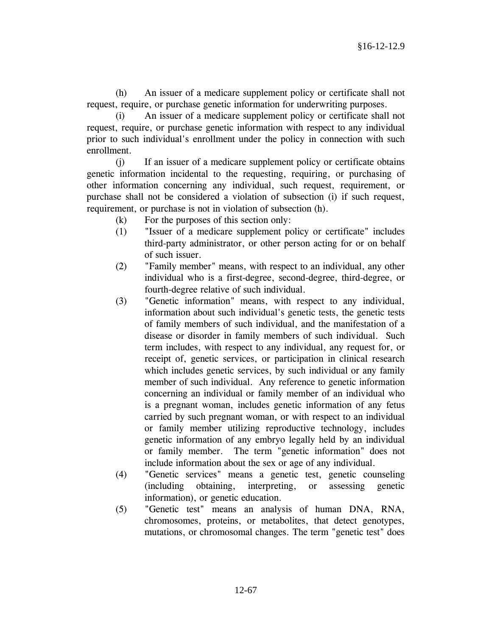(h) An issuer of a medicare supplement policy or certificate shall not request, require, or purchase genetic information for underwriting purposes.

(i) An issuer of a medicare supplement policy or certificate shall not request, require, or purchase genetic information with respect to any individual prior to such individual's enrollment under the policy in connection with such enrollment.

(j) If an issuer of a medicare supplement policy or certificate obtains genetic information incidental to the requesting, requiring, or purchasing of other information concerning any individual, such request, requirement, or purchase shall not be considered a violation of subsection (i) if such request, requirement, or purchase is not in violation of subsection (h).

- (k) For the purposes of this section only:
- (1) "Issuer of a medicare supplement policy or certificate" includes third-party administrator, or other person acting for or on behalf of such issuer.
- (2) "Family member" means, with respect to an individual, any other individual who is a first-degree, second-degree, third-degree, or fourth-degree relative of such individual.
- (3) "Genetic information" means, with respect to any individual, information about such individual's genetic tests, the genetic tests of family members of such individual, and the manifestation of a disease or disorder in family members of such individual. Such term includes, with respect to any individual, any request for, or receipt of, genetic services, or participation in clinical research which includes genetic services, by such individual or any family member of such individual. Any reference to genetic information concerning an individual or family member of an individual who is a pregnant woman, includes genetic information of any fetus carried by such pregnant woman, or with respect to an individual or family member utilizing reproductive technology, includes genetic information of any embryo legally held by an individual or family member. The term "genetic information" does not include information about the sex or age of any individual.
- (4) "Genetic services" means a genetic test, genetic counseling (including obtaining, interpreting, or assessing genetic information), or genetic education.
- (5) "Genetic test" means an analysis of human DNA, RNA, chromosomes, proteins, or metabolites, that detect genotypes, mutations, or chromosomal changes. The term "genetic test" does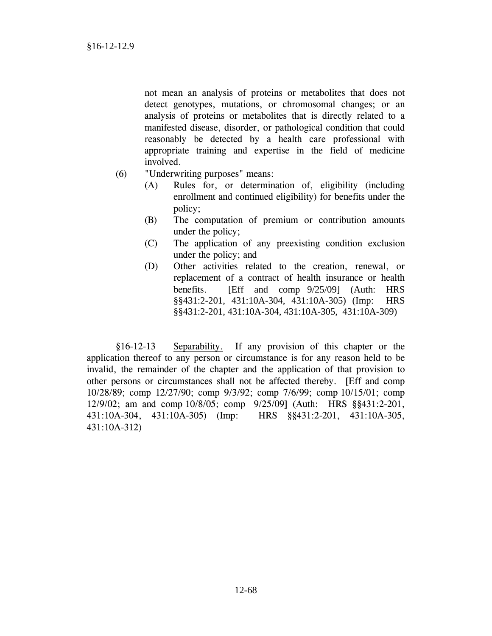not mean an analysis of proteins or metabolites that does not detect genotypes, mutations, or chromosomal changes; or an analysis of proteins or metabolites that is directly related to a manifested disease, disorder, or pathological condition that could reasonably be detected by a health care professional with appropriate training and expertise in the field of medicine involved.

- (6) "Underwriting purposes" means:
	- (A) Rules for, or determination of, eligibility (including enrollment and continued eligibility) for benefits under the policy;
	- (B) The computation of premium or contribution amounts under the policy;
	- (C) The application of any preexisting condition exclusion under the policy; and
	- (D) Other activities related to the creation, renewal, or replacement of a contract of health insurance or health benefits. [Eff and comp 9/25/09] (Auth: HRS §§431:2-201, 431:10A-304, 431:10A-305) (Imp: HRS §§431:2-201, 431:10A-304, 431:10A-305, 431:10A-309)

 §16-12-13 Separability. If any provision of this chapter or the application thereof to any person or circumstance is for any reason held to be invalid, the remainder of the chapter and the application of that provision to other persons or circumstances shall not be affected thereby. [Eff and comp 10/28/89; comp 12/27/90; comp 9/3/92; comp 7/6/99; comp 10/15/01; comp 12/9/02; am and comp 10/8/05; comp 9/25/09] (Auth: HRS §§431:2-201, 431:10A-304, 431:10A-305) (Imp: HRS §§431:2-201, 431:10A-305, 431:10A-312)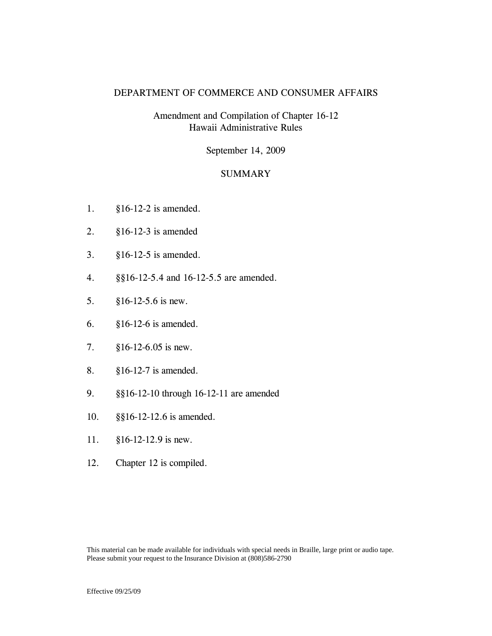### DEPARTMENT OF COMMERCE AND CONSUMER AFFAIRS

# Amendment and Compilation of Chapter 16-12 Hawaii Administrative Rules

September 14, 2009

### SUMMARY

- 1. §16-12-2 is amended.
- 2. §16-12-3 is amended
- 3. §16-12-5 is amended.
- 4. §§16-12-5.4 and 16-12-5.5 are amended.
- 5. §16-12-5.6 is new.
- 6. §16-12-6 is amended.
- 7. §16-12-6.05 is new.
- 8. §16-12-7 is amended.
- 9. §§16-12-10 through 16-12-11 are amended
- 10. §§16-12-12.6 is amended.
- 11. §16-12-12.9 is new.
- 12. Chapter 12 is compiled.

This material can be made available for individuals with special needs in Braille, large print or audio tape. Please submit your request to the Insurance Division at (808)586-2790